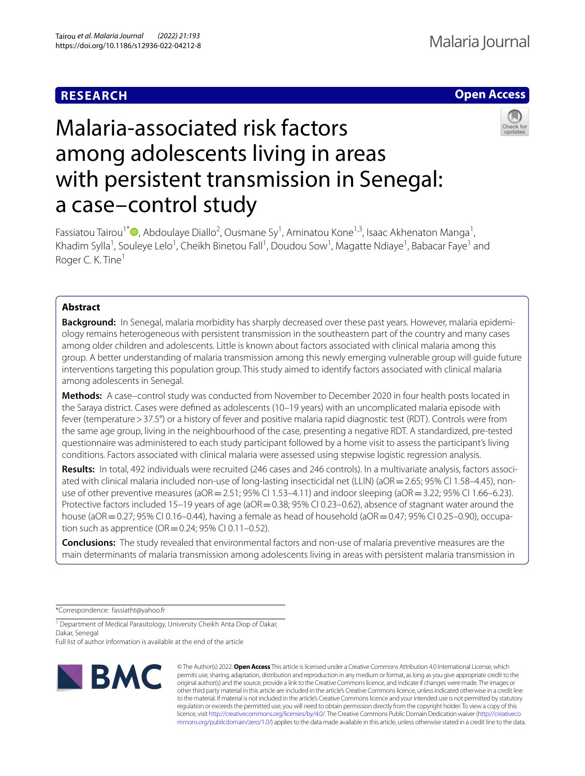# **RESEARCH**

# **Open Access**



# Malaria-associated risk factors among adolescents living in areas with persistent transmission in Senegal: a case–control study

Fassiatou Tairou<sup>1[\\*](http://orcid.org/0000-0002-9410-4278)</sup><sup>®</sup>, Abdoulaye Diallo<sup>2</sup>, Ousmane Sy<sup>1</sup>, Aminatou Kone<sup>1,3</sup>, Isaac Akhenaton Manga<sup>1</sup>, Khadim Sylla<sup>1</sup>, Souleye Lelo<sup>1</sup>, Cheikh Binetou Fall<sup>1</sup>, Doudou Sow<sup>1</sup>, Magatte Ndiaye<sup>1</sup>, Babacar Faye<sup>1</sup> and Roger C. K. Tine<sup>1</sup>

# **Abstract**

**Background:** In Senegal, malaria morbidity has sharply decreased over these past years. However, malaria epidemiology remains heterogeneous with persistent transmission in the southeastern part of the country and many cases among older children and adolescents. Little is known about factors associated with clinical malaria among this group. A better understanding of malaria transmission among this newly emerging vulnerable group will guide future interventions targeting this population group. This study aimed to identify factors associated with clinical malaria among adolescents in Senegal.

**Methods:** A case–control study was conducted from November to December 2020 in four health posts located in the Saraya district. Cases were defned as adolescents (10–19 years) with an uncomplicated malaria episode with fever (temperature > 37.5°) or a history of fever and positive malaria rapid diagnostic test (RDT). Controls were from the same age group, living in the neighbourhood of the case, presenting a negative RDT. A standardized, pre-tested questionnaire was administered to each study participant followed by a home visit to assess the participant's living conditions. Factors associated with clinical malaria were assessed using stepwise logistic regression analysis.

**Results:** In total, 492 individuals were recruited (246 cases and 246 controls). In a multivariate analysis, factors associated with clinical malaria included non-use of long-lasting insecticidal net (LLIN) (aOR = 2.65; 95% CI 1.58–4.45), nonuse of other preventive measures ( $aOR = 2.51$ ; 95% CI 1.53–4.11) and indoor sleeping ( $aOR = 3.22$ ; 95% CI 1.66–6.23). Protective factors included 15–19 years of age (aOR=0.38; 95% CI 0.23–0.62), absence of stagnant water around the house (aOR = 0.27; 95% CI 0.16–0.44), having a female as head of household (aOR = 0.47; 95% CI 0.25–0.90), occupation such as apprentice (OR =  $0.24$ ; 95% CI 0.11-0.52).

**Conclusions:** The study revealed that environmental factors and non-use of malaria preventive measures are the main determinants of malaria transmission among adolescents living in areas with persistent malaria transmission in

\*Correspondence: fassiatht@yahoo.fr

<sup>1</sup> Department of Medical Parasitology, University Cheikh Anta Diop of Dakar, Dakar, Senegal

Full list of author information is available at the end of the article



© The Author(s) 2022. **Open Access** This article is licensed under a Creative Commons Attribution 4.0 International License, which permits use, sharing, adaptation, distribution and reproduction in any medium or format, as long as you give appropriate credit to the original author(s) and the source, provide a link to the Creative Commons licence, and indicate if changes were made. The images or other third party material in this article are included in the article's Creative Commons licence, unless indicated otherwise in a credit line to the material. If material is not included in the article's Creative Commons licence and your intended use is not permitted by statutory regulation or exceeds the permitted use, you will need to obtain permission directly from the copyright holder. To view a copy of this licence, visit [http://creativecommons.org/licenses/by/4.0/.](http://creativecommons.org/licenses/by/4.0/) The Creative Commons Public Domain Dedication waiver ([http://creativeco](http://creativecommons.org/publicdomain/zero/1.0/) [mmons.org/publicdomain/zero/1.0/](http://creativecommons.org/publicdomain/zero/1.0/)) applies to the data made available in this article, unless otherwise stated in a credit line to the data.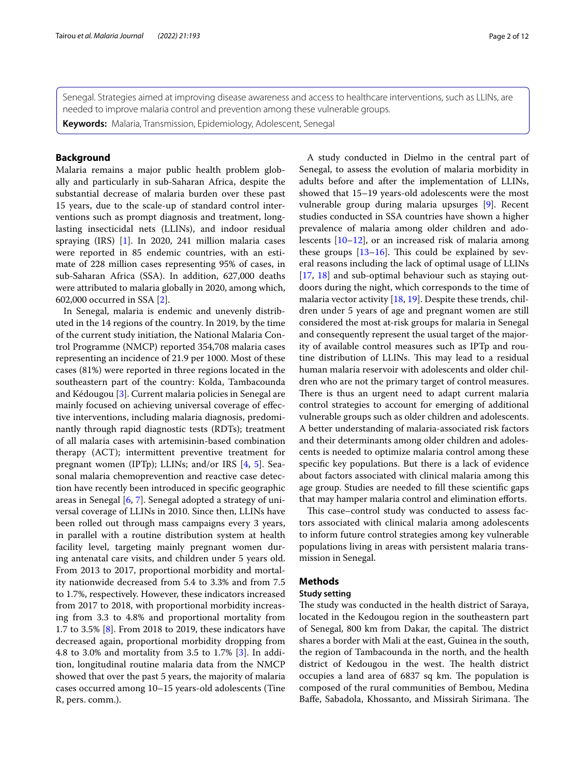Senegal. Strategies aimed at improving disease awareness and access to healthcare interventions, such as LLINs, are needed to improve malaria control and prevention among these vulnerable groups.

**Keywords:** Malaria, Transmission, Epidemiology, Adolescent, Senegal

# **Background**

Malaria remains a major public health problem globally and particularly in sub-Saharan Africa, despite the substantial decrease of malaria burden over these past 15 years, due to the scale-up of standard control interventions such as prompt diagnosis and treatment, longlasting insecticidal nets (LLINs), and indoor residual spraying (IRS) [[1\]](#page-9-0). In 2020, 241 million malaria cases were reported in 85 endemic countries, with an estimate of 228 million cases representing 95% of cases, in sub-Saharan Africa (SSA). In addition, 627,000 deaths were attributed to malaria globally in 2020, among which, 602,000 occurred in SSA [[2\]](#page-10-0).

In Senegal, malaria is endemic and unevenly distributed in the 14 regions of the country. In 2019, by the time of the current study initiation, the National Malaria Control Programme (NMCP) reported 354,708 malaria cases representing an incidence of 21.9 per 1000. Most of these cases (81%) were reported in three regions located in the southeastern part of the country: Kolda, Tambacounda and Kédougou [\[3](#page-10-1)]. Current malaria policies in Senegal are mainly focused on achieving universal coverage of efective interventions, including malaria diagnosis, predominantly through rapid diagnostic tests (RDTs); treatment of all malaria cases with artemisinin-based combination therapy (ACT); intermittent preventive treatment for pregnant women (IPTp); LLINs; and/or IRS [[4,](#page-10-2) [5\]](#page-10-3). Seasonal malaria chemoprevention and reactive case detection have recently been introduced in specifc geographic areas in Senegal [\[6](#page-10-4), [7\]](#page-10-5). Senegal adopted a strategy of universal coverage of LLINs in 2010. Since then, LLINs have been rolled out through mass campaigns every 3 years, in parallel with a routine distribution system at health facility level, targeting mainly pregnant women during antenatal care visits, and children under 5 years old. From 2013 to 2017, proportional morbidity and mortality nationwide decreased from 5.4 to 3.3% and from 7.5 to 1.7%, respectively. However, these indicators increased from 2017 to 2018, with proportional morbidity increasing from 3.3 to 4.8% and proportional mortality from 1.7 to 3.5% [[8\]](#page-10-6). From 2018 to 2019, these indicators have decreased again, proportional morbidity dropping from 4.8 to 3.0% and mortality from 3.5 to 1.7% [\[3](#page-10-1)]. In addition, longitudinal routine malaria data from the NMCP showed that over the past 5 years, the majority of malaria cases occurred among 10–15 years-old adolescents (Tine R, pers. comm.).

A study conducted in Dielmo in the central part of Senegal, to assess the evolution of malaria morbidity in adults before and after the implementation of LLINs, showed that 15–19 years-old adolescents were the most vulnerable group during malaria upsurges [\[9\]](#page-10-7). Recent studies conducted in SSA countries have shown a higher prevalence of malaria among older children and adolescents [[10](#page-10-8)[–12](#page-10-9)], or an increased risk of malaria among these groups  $[13–16]$  $[13–16]$ . This could be explained by several reasons including the lack of optimal usage of LLINs [[17,](#page-10-12) [18](#page-10-13)] and sub-optimal behaviour such as staying outdoors during the night, which corresponds to the time of malaria vector activity [[18,](#page-10-13) [19\]](#page-10-14). Despite these trends, children under 5 years of age and pregnant women are still considered the most at-risk groups for malaria in Senegal and consequently represent the usual target of the majority of available control measures such as IPTp and routine distribution of LLINs. This may lead to a residual human malaria reservoir with adolescents and older children who are not the primary target of control measures. There is thus an urgent need to adapt current malaria control strategies to account for emerging of additional vulnerable groups such as older children and adolescents. A better understanding of malaria-associated risk factors and their determinants among older children and adolescents is needed to optimize malaria control among these specifc key populations. But there is a lack of evidence about factors associated with clinical malaria among this age group. Studies are needed to fll these scientifc gaps that may hamper malaria control and elimination efforts.

This case–control study was conducted to assess factors associated with clinical malaria among adolescents to inform future control strategies among key vulnerable populations living in areas with persistent malaria transmission in Senegal.

# **Methods**

# **Study setting**

The study was conducted in the health district of Saraya, located in the Kedougou region in the southeastern part of Senegal, 800 km from Dakar, the capital. The district shares a border with Mali at the east, Guinea in the south, the region of Tambacounda in the north, and the health district of Kedougou in the west. The health district occupies a land area of 6837 sq km. The population is composed of the rural communities of Bembou, Medina Baffe, Sabadola, Khossanto, and Missirah Sirimana. The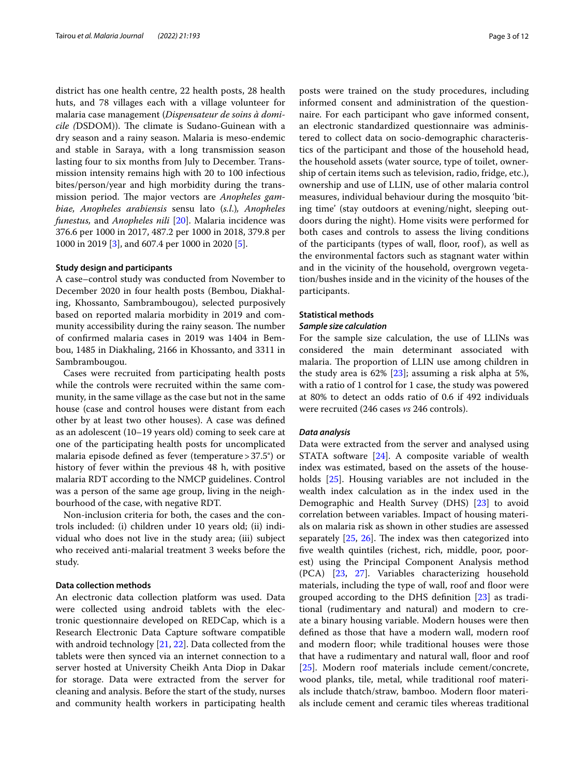district has one health centre, 22 health posts, 28 health huts, and 78 villages each with a village volunteer for malaria case management (*Dispensateur de soins à domicile (DSDOM)*). The climate is Sudano-Guinean with a dry season and a rainy season. Malaria is meso-endemic and stable in Saraya, with a long transmission season lasting four to six months from July to December. Transmission intensity remains high with 20 to 100 infectious bites/person/year and high morbidity during the transmission period. The major vectors are *Anopheles gambiae, Anopheles arabiensis* sensu lato (*s.l*.)*, Anopheles funestus,* and *Anopheles nili* [\[20](#page-10-15)]. Malaria incidence was 376.6 per 1000 in 2017, 487.2 per 1000 in 2018, 379.8 per 1000 in 2019 [\[3](#page-10-1)], and 607.4 per 1000 in 2020 [\[5\]](#page-10-3).

# **Study design and participants**

A case–control study was conducted from November to December 2020 in four health posts (Bembou, Diakhaling, Khossanto, Sambrambougou), selected purposively based on reported malaria morbidity in 2019 and community accessibility during the rainy season. The number of confrmed malaria cases in 2019 was 1404 in Bembou, 1485 in Diakhaling, 2166 in Khossanto, and 3311 in Sambrambougou.

Cases were recruited from participating health posts while the controls were recruited within the same community, in the same village as the case but not in the same house (case and control houses were distant from each other by at least two other houses). A case was defned as an adolescent (10–19 years old) coming to seek care at one of the participating health posts for uncomplicated malaria episode defned as fever (temperature>37.5°) or history of fever within the previous 48 h, with positive malaria RDT according to the NMCP guidelines. Control was a person of the same age group, living in the neighbourhood of the case, with negative RDT.

Non-inclusion criteria for both, the cases and the controls included: (i) children under 10 years old; (ii) individual who does not live in the study area; (iii) subject who received anti-malarial treatment 3 weeks before the study.

## **Data collection methods**

An electronic data collection platform was used. Data were collected using android tablets with the electronic questionnaire developed on REDCap, which is a Research Electronic Data Capture software compatible with android technology [\[21](#page-10-16), [22\]](#page-10-17). Data collected from the tablets were then synced via an internet connection to a server hosted at University Cheikh Anta Diop in Dakar for storage. Data were extracted from the server for cleaning and analysis. Before the start of the study, nurses and community health workers in participating health

posts were trained on the study procedures, including informed consent and administration of the questionnaire. For each participant who gave informed consent, an electronic standardized questionnaire was administered to collect data on socio-demographic characteristics of the participant and those of the household head, the household assets (water source, type of toilet, ownership of certain items such as television, radio, fridge, etc.), ownership and use of LLIN, use of other malaria control measures, individual behaviour during the mosquito 'biting time' (stay outdoors at evening/night, sleeping outdoors during the night). Home visits were performed for both cases and controls to assess the living conditions of the participants (types of wall, foor, roof), as well as the environmental factors such as stagnant water within and in the vicinity of the household, overgrown vegetation/bushes inside and in the vicinity of the houses of the participants.

## **Statistical methods**

# *Sample size calculation*

For the sample size calculation, the use of LLINs was considered the main determinant associated with malaria. The proportion of LLIN use among children in the study area is 62% [[23](#page-10-18)]; assuming a risk alpha at 5%, with a ratio of 1 control for 1 case, the study was powered at 80% to detect an odds ratio of 0.6 if 492 individuals were recruited (246 cases *vs* 246 controls).

#### *Data analysis*

Data were extracted from the server and analysed using STATA software [[24](#page-10-19)]. A composite variable of wealth index was estimated, based on the assets of the households [\[25\]](#page-10-20). Housing variables are not included in the wealth index calculation as in the index used in the Demographic and Health Survey (DHS) [\[23](#page-10-18)] to avoid correlation between variables. Impact of housing materials on malaria risk as shown in other studies are assessed separately  $[25, 26]$  $[25, 26]$  $[25, 26]$  $[25, 26]$ . The index was then categorized into fve wealth quintiles (richest, rich, middle, poor, poorest) using the Principal Component Analysis method (PCA) [[23,](#page-10-18) [27](#page-10-22)]. Variables characterizing household materials, including the type of wall, roof and floor were grouped according to the DHS defnition [\[23](#page-10-18)] as traditional (rudimentary and natural) and modern to create a binary housing variable. Modern houses were then defned as those that have a modern wall, modern roof and modern floor; while traditional houses were those that have a rudimentary and natural wall, floor and roof [[25\]](#page-10-20). Modern roof materials include cement/concrete, wood planks, tile, metal, while traditional roof materials include thatch/straw, bamboo. Modern floor materials include cement and ceramic tiles whereas traditional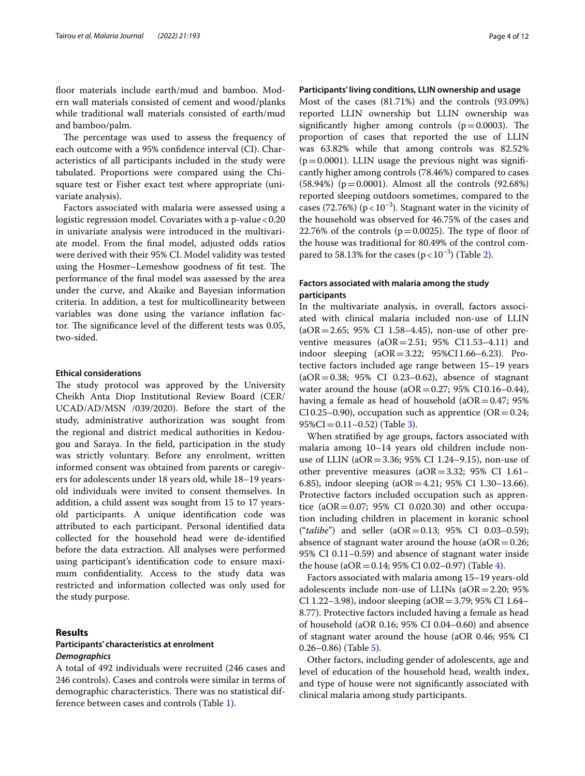floor materials include earth/mud and bamboo. Modern wall materials consisted of cement and wood/planks while traditional wall materials consisted of earth/mud and bamboo/palm.

The percentage was used to assess the frequency of each outcome with a 95% confdence interval (CI). Characteristics of all participants included in the study were tabulated. Proportions were compared using the Chisquare test or Fisher exact test where appropriate (univariate analysis).

Factors associated with malaria were assessed using a logistic regression model. Covariates with a  $p$ -value < 0.20 in univariate analysis were introduced in the multivariate model. From the fnal model, adjusted odds ratios were derived with their 95% CI. Model validity was tested using the Hosmer-Lemeshow goodness of fit test. The performance of the fnal model was assessed by the area under the curve, and Akaike and Bayesian information criteria. In addition, a test for multicollinearity between variables was done using the variance infation factor. The significance level of the different tests was 0.05, two-sided.

## **Ethical considerations**

The study protocol was approved by the University Cheikh Anta Diop Institutional Review Board (CER/ UCAD/AD/MSN /039/2020). Before the start of the study, administrative authorization was sought from the regional and district medical authorities in Kedougou and Saraya. In the feld, participation in the study was strictly voluntary. Before any enrolment, written informed consent was obtained from parents or caregivers for adolescents under 18 years old, while 18–19 yearsold individuals were invited to consent themselves. In addition, a child assent was sought from 15 to 17 yearsold participants. A unique identifcation code was attributed to each participant. Personal identifed data collected for the household head were de-identifed before the data extraction. All analyses were performed using participant's identifcation code to ensure maximum confdentiality. Access to the study data was restricted and information collected was only used for the study purpose.

# **Results**

# **Participants' characteristics at enrolment** *Demographics*

A total of 492 individuals were recruited (246 cases and 246 controls). Cases and controls were similar in terms of demographic characteristics. There was no statistical difference between cases and controls (Table [1](#page-4-0)).

#### **Participants' living conditions, LLIN ownership and usage**

Most of the cases (81.71%) and the controls (93.09%) reported LLIN ownership but LLIN ownership was significantly higher among controls  $(p=0.0003)$ . The proportion of cases that reported the use of LLIN was 63.82% while that among controls was 82.52%  $(p=0.0001)$ . LLIN usage the previous night was significantly higher among controls (78.46%) compared to cases  $(58.94%)$  ( $p=0.0001$ ). Almost all the controls  $(92.68%)$ reported sleeping outdoors sometimes, compared to the cases (72.76%) ( $p < 10^{-3}$ ). Stagnant water in the vicinity of the household was observed for 46.75% of the cases and 22.76% of the controls ( $p=0.0025$ ). The type of floor of the house was traditional for 80.49% of the control compared to 58.13% for the cases  $(p < 10^{-3})$  (Table [2](#page-5-0)).

# **Factors associated with malaria among the study participants**

In the multivariate analysis, in overall, factors associated with clinical malaria included non-use of LLIN  $(aOR = 2.65; 95\% \text{ CI } 1.58 - 4.45)$ , non-use of other preventive measures (aOR=2.51; 95% CI1.53–4.11) and indoor sleeping (aOR=3.22; 95%CI1.66–6.23). Protective factors included age range between 15–19 years  $(aOR = 0.38; 95\% \text{ CI } 0.23-0.62)$ , absence of stagnant water around the house ( $aOR = 0.27$ ; 95% CI0.16–0.44), having a female as head of household ( $aOR=0.47$ ; 95% CI0.25–0.90), occupation such as apprentice ( $OR = 0.24$ ;  $95\%CI = 0.11 - 0.52$  (Table [3\)](#page-6-0).

When stratifed by age groups, factors associated with malaria among 10–14 years old children include nonuse of LLIN (aOR=3.36; 95% CI 1.24–9.15), non-use of other preventive measures (aOR=3.32; 95% CI 1.61– 6.85), indoor sleeping (aOR=4.21; 95% CI 1.30–13.66). Protective factors included occupation such as apprentice  $(aOR = 0.07; 95\% \text{ CI } 0.020.30)$  and other occupation including children in placement in koranic school ("*talibe*") and seller (aOR=0.13; 95% CI 0.03–0.59); absence of stagnant water around the house ( $aOR = 0.26$ ; 95% CI 0.11–0.59) and absence of stagnant water inside the house (aOR =  $0.14$ ; 95% CI 0.02–0.97) (Table [4](#page-7-0)).

Factors associated with malaria among 15–19 years-old adolescents include non-use of LLINs ( $aOR = 2.20$ ; 95% CI 1.22–3.98), indoor sleeping (aOR = 3.79; 95% CI 1.64– 8.77). Protective factors included having a female as head of household (aOR 0.16; 95% CI 0.04–0.60) and absence of stagnant water around the house (aOR 0.46; 95% CI 0.26–0.86) (Table [5\)](#page-7-1).

Other factors, including gender of adolescents, age and level of education of the household head, wealth index, and type of house were not signifcantly associated with clinical malaria among study participants.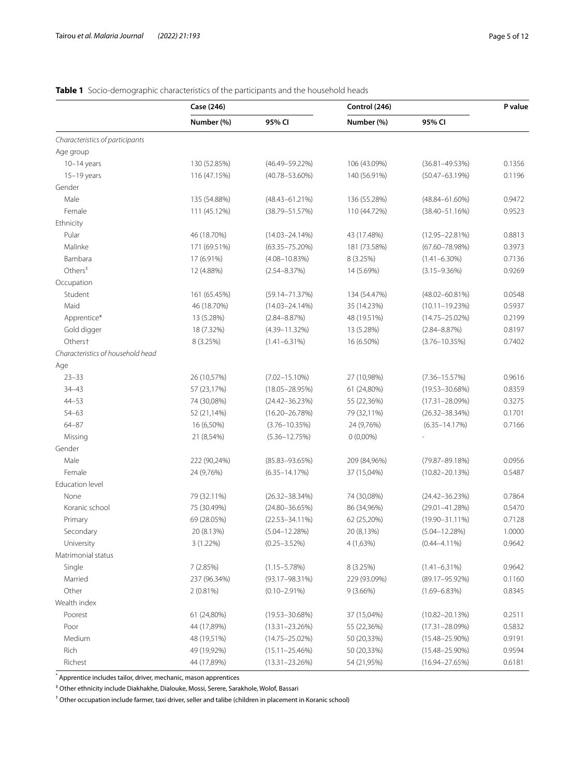# <span id="page-4-0"></span>**Table 1** Socio-demographic characteristics of the participants and the household heads

| Number (%)<br>95% CI<br>Number (%)<br>95% CI<br>Characteristics of participants<br>Age group<br>0.1356<br>$10-14$ years<br>130 (52.85%)<br>$(46.49 - 59.22\%)$<br>106 (43.09%)<br>$(36.81 - 49.53%)$<br>116 (47.15%)<br>$(40.78 - 53.60\%)$<br>140 (56.91%)<br>$(50.47 - 63.19%)$<br>0.1196<br>$15-19$ years<br>Gender<br>Male<br>0.9472<br>135 (54.88%)<br>$(48.43 - 61.21%)$<br>136 (55.28%)<br>$(48.84 - 61.60\%)$<br>Female<br>111 (45.12%)<br>$(38.79 - 51.57%)$<br>110 (44.72%)<br>0.9523<br>$(38.40 - 51.16%)$<br>Ethnicity<br>Pular<br>0.8813<br>46 (18.70%)<br>$(14.03 - 24.14%)$<br>43 (17.48%)<br>$(12.95 - 22.81%)$<br>Malinke<br>$(67.60 - 78.98%)$<br>0.3973<br>171 (69.51%)<br>$(63.35 - 75.20\%)$<br>181 (73.58%)<br>Bambara<br>17 (6.91%)<br>$(1.41 - 6.30\%)$<br>0.7136<br>$(4.08 - 10.83%)$<br>8 (3.25%)<br>Others <sup>‡</sup><br>12 (4.88%)<br>$(2.54 - 8.37%)$<br>14 (5.69%)<br>$(3.15 - 9.36\%)$<br>0.9269<br>Occupation<br>Student<br>161 (65.45%)<br>134 (54.47%)<br>0.0548<br>$(59.14 - 71.37%)$<br>$(48.02 - 60.81\%)$<br>Maid<br>46 (18.70%)<br>35 (14.23%)<br>$(10.11 - 19.23%)$<br>0.5937<br>$(14.03 - 24.14\%)$<br>Apprentice*<br>13 (5.28%)<br>48 (19.51%)<br>$(14.75 - 25.02\%)$<br>0.2199<br>$(2.84 - 8.87%)$<br>Gold digger<br>18 (7.32%)<br>$(4.39 - 11.32\%)$<br>13 (5.28%)<br>$(2.84 - 8.87%)$<br>0.8197<br>Others <sup>+</sup><br>$(3.76 - 10.35%)$<br>0.7402<br>8 (3.25%)<br>$(1.41 - 6.31\%)$<br>16 (6.50%)<br>Characteristics of household head<br>Age<br>$23 - 33$<br>26 (10,57%)<br>0.9616<br>$(7.02 - 15.10\%)$<br>27 (10,98%)<br>$(7.36 - 15.57%)$<br>$34 - 43$<br>57 (23,17%)<br>0.8359<br>$(18.05 - 28.95%)$<br>61 (24,80%)<br>$(19.53 - 30.68%)$<br>$44 - 53$<br>74 (30,08%)<br>$(24.42 - 36.23%)$<br>55 (22,36%)<br>$(17.31 - 28.09%)$<br>0.3275<br>$54 - 63$<br>$(26.32 - 38.34%)$<br>0.1701<br>52 (21,14%)<br>$(16.20 - 26.78%)$<br>79 (32,11%)<br>$64 - 87$<br>$(6.35 - 14.17%)$<br>0.7166<br>16 (6,50%)<br>$(3.76 - 10.35%)$<br>24 (9,76%)<br>Missing<br>21 (8,54%)<br>$(5.36 - 12.75%)$<br>$0(0,00\%)$<br>Gender<br>Male<br>0.0956<br>222 (90,24%)<br>$(85.83 - 93.65%)$<br>209 (84,96%)<br>$(79.87 - 89.18%)$<br>Female<br>$(6.35 - 14.17%)$<br>0.5487<br>24 (9,76%)<br>37 (15,04%)<br>$(10.82 - 20.13%)$<br><b>Education level</b><br>0.7864<br>None<br>79 (32.11%)<br>$(26.32 - 38.34%)$<br>74 (30,08%)<br>$(24.42 - 36.23%)$<br>75 (30.49%)<br>$(29.01 - 41.28%)$<br>0.5470<br>Koranic school<br>$(24.80 - 36.65\%)$<br>86 (34,96%)<br>0.7128<br>Primary<br>69 (28.05%)<br>$(22.53 - 34.11\%)$<br>62 (25,20%)<br>$(19.90 - 31.11\%)$<br>$(5.04 - 12.28%)$<br>1.0000<br>Secondary<br>20 (8.13%)<br>20 (8,13%)<br>$(5.04 - 12.28%)$<br>$(0.44 - 4.11\%)$<br>0.9642<br>University<br>$3(1.22\%)$<br>$(0.25 - 3.52\%)$<br>4 (1,63%)<br>Matrimonial status<br>Single<br>0.9642<br>7(2.85%)<br>$(1.15 - 5.78%)$<br>8 (3.25%)<br>$(1.41 - 6.31\%)$<br>Married<br>237 (96.34%)<br>$(93.17 - 98.31\%)$<br>229 (93.09%)<br>$(89.17 - 95.92\%)$<br>0.1160<br>Other<br>$2(0.81\%)$<br>$(0.10 - 2.91\%)$<br>$9(3.66\%)$<br>$(1.69 - 6.83%)$<br>0.8345<br>Wealth index<br>Poorest<br>61 (24,80%)<br>$(19.53 - 30.68%)$<br>$(10.82 - 20.13%)$<br>0.2511<br>37 (15,04%)<br>Poor<br>44 (17,89%)<br>$(13.31 - 23.26%)$<br>$(17.31 - 28.09%)$<br>0.5832<br>55 (22,36%)<br>Medium<br>48 (19,51%)<br>$(14.75 - 25.02\%)$<br>50 (20,33%)<br>$(15.48 - 25.90\%)$<br>0.9191<br>Rich<br>$(15.11 - 25.46%)$<br>49 (19,92%)<br>50 (20,33%)<br>$(15.48 - 25.90\%)$<br>0.9594 |         | Case (246)  |                    | Control (246) |                    | P value |
|-------------------------------------------------------------------------------------------------------------------------------------------------------------------------------------------------------------------------------------------------------------------------------------------------------------------------------------------------------------------------------------------------------------------------------------------------------------------------------------------------------------------------------------------------------------------------------------------------------------------------------------------------------------------------------------------------------------------------------------------------------------------------------------------------------------------------------------------------------------------------------------------------------------------------------------------------------------------------------------------------------------------------------------------------------------------------------------------------------------------------------------------------------------------------------------------------------------------------------------------------------------------------------------------------------------------------------------------------------------------------------------------------------------------------------------------------------------------------------------------------------------------------------------------------------------------------------------------------------------------------------------------------------------------------------------------------------------------------------------------------------------------------------------------------------------------------------------------------------------------------------------------------------------------------------------------------------------------------------------------------------------------------------------------------------------------------------------------------------------------------------------------------------------------------------------------------------------------------------------------------------------------------------------------------------------------------------------------------------------------------------------------------------------------------------------------------------------------------------------------------------------------------------------------------------------------------------------------------------------------------------------------------------------------------------------------------------------------------------------------------------------------------------------------------------------------------------------------------------------------------------------------------------------------------------------------------------------------------------------------------------------------------------------------------------------------------------------------------------------------------------------------------------------------------------------------------------------------------------------------------------------------------------------------------------------------------------------------------------------------------------------------------------------------------------------------------------------------------------------------------------------|---------|-------------|--------------------|---------------|--------------------|---------|
|                                                                                                                                                                                                                                                                                                                                                                                                                                                                                                                                                                                                                                                                                                                                                                                                                                                                                                                                                                                                                                                                                                                                                                                                                                                                                                                                                                                                                                                                                                                                                                                                                                                                                                                                                                                                                                                                                                                                                                                                                                                                                                                                                                                                                                                                                                                                                                                                                                                                                                                                                                                                                                                                                                                                                                                                                                                                                                                                                                                                                                                                                                                                                                                                                                                                                                                                                                                                                                                                                                             |         |             |                    |               |                    |         |
|                                                                                                                                                                                                                                                                                                                                                                                                                                                                                                                                                                                                                                                                                                                                                                                                                                                                                                                                                                                                                                                                                                                                                                                                                                                                                                                                                                                                                                                                                                                                                                                                                                                                                                                                                                                                                                                                                                                                                                                                                                                                                                                                                                                                                                                                                                                                                                                                                                                                                                                                                                                                                                                                                                                                                                                                                                                                                                                                                                                                                                                                                                                                                                                                                                                                                                                                                                                                                                                                                                             |         |             |                    |               |                    |         |
|                                                                                                                                                                                                                                                                                                                                                                                                                                                                                                                                                                                                                                                                                                                                                                                                                                                                                                                                                                                                                                                                                                                                                                                                                                                                                                                                                                                                                                                                                                                                                                                                                                                                                                                                                                                                                                                                                                                                                                                                                                                                                                                                                                                                                                                                                                                                                                                                                                                                                                                                                                                                                                                                                                                                                                                                                                                                                                                                                                                                                                                                                                                                                                                                                                                                                                                                                                                                                                                                                                             |         |             |                    |               |                    |         |
|                                                                                                                                                                                                                                                                                                                                                                                                                                                                                                                                                                                                                                                                                                                                                                                                                                                                                                                                                                                                                                                                                                                                                                                                                                                                                                                                                                                                                                                                                                                                                                                                                                                                                                                                                                                                                                                                                                                                                                                                                                                                                                                                                                                                                                                                                                                                                                                                                                                                                                                                                                                                                                                                                                                                                                                                                                                                                                                                                                                                                                                                                                                                                                                                                                                                                                                                                                                                                                                                                                             |         |             |                    |               |                    |         |
|                                                                                                                                                                                                                                                                                                                                                                                                                                                                                                                                                                                                                                                                                                                                                                                                                                                                                                                                                                                                                                                                                                                                                                                                                                                                                                                                                                                                                                                                                                                                                                                                                                                                                                                                                                                                                                                                                                                                                                                                                                                                                                                                                                                                                                                                                                                                                                                                                                                                                                                                                                                                                                                                                                                                                                                                                                                                                                                                                                                                                                                                                                                                                                                                                                                                                                                                                                                                                                                                                                             |         |             |                    |               |                    |         |
|                                                                                                                                                                                                                                                                                                                                                                                                                                                                                                                                                                                                                                                                                                                                                                                                                                                                                                                                                                                                                                                                                                                                                                                                                                                                                                                                                                                                                                                                                                                                                                                                                                                                                                                                                                                                                                                                                                                                                                                                                                                                                                                                                                                                                                                                                                                                                                                                                                                                                                                                                                                                                                                                                                                                                                                                                                                                                                                                                                                                                                                                                                                                                                                                                                                                                                                                                                                                                                                                                                             |         |             |                    |               |                    |         |
|                                                                                                                                                                                                                                                                                                                                                                                                                                                                                                                                                                                                                                                                                                                                                                                                                                                                                                                                                                                                                                                                                                                                                                                                                                                                                                                                                                                                                                                                                                                                                                                                                                                                                                                                                                                                                                                                                                                                                                                                                                                                                                                                                                                                                                                                                                                                                                                                                                                                                                                                                                                                                                                                                                                                                                                                                                                                                                                                                                                                                                                                                                                                                                                                                                                                                                                                                                                                                                                                                                             |         |             |                    |               |                    |         |
|                                                                                                                                                                                                                                                                                                                                                                                                                                                                                                                                                                                                                                                                                                                                                                                                                                                                                                                                                                                                                                                                                                                                                                                                                                                                                                                                                                                                                                                                                                                                                                                                                                                                                                                                                                                                                                                                                                                                                                                                                                                                                                                                                                                                                                                                                                                                                                                                                                                                                                                                                                                                                                                                                                                                                                                                                                                                                                                                                                                                                                                                                                                                                                                                                                                                                                                                                                                                                                                                                                             |         |             |                    |               |                    |         |
|                                                                                                                                                                                                                                                                                                                                                                                                                                                                                                                                                                                                                                                                                                                                                                                                                                                                                                                                                                                                                                                                                                                                                                                                                                                                                                                                                                                                                                                                                                                                                                                                                                                                                                                                                                                                                                                                                                                                                                                                                                                                                                                                                                                                                                                                                                                                                                                                                                                                                                                                                                                                                                                                                                                                                                                                                                                                                                                                                                                                                                                                                                                                                                                                                                                                                                                                                                                                                                                                                                             |         |             |                    |               |                    |         |
|                                                                                                                                                                                                                                                                                                                                                                                                                                                                                                                                                                                                                                                                                                                                                                                                                                                                                                                                                                                                                                                                                                                                                                                                                                                                                                                                                                                                                                                                                                                                                                                                                                                                                                                                                                                                                                                                                                                                                                                                                                                                                                                                                                                                                                                                                                                                                                                                                                                                                                                                                                                                                                                                                                                                                                                                                                                                                                                                                                                                                                                                                                                                                                                                                                                                                                                                                                                                                                                                                                             |         |             |                    |               |                    |         |
|                                                                                                                                                                                                                                                                                                                                                                                                                                                                                                                                                                                                                                                                                                                                                                                                                                                                                                                                                                                                                                                                                                                                                                                                                                                                                                                                                                                                                                                                                                                                                                                                                                                                                                                                                                                                                                                                                                                                                                                                                                                                                                                                                                                                                                                                                                                                                                                                                                                                                                                                                                                                                                                                                                                                                                                                                                                                                                                                                                                                                                                                                                                                                                                                                                                                                                                                                                                                                                                                                                             |         |             |                    |               |                    |         |
|                                                                                                                                                                                                                                                                                                                                                                                                                                                                                                                                                                                                                                                                                                                                                                                                                                                                                                                                                                                                                                                                                                                                                                                                                                                                                                                                                                                                                                                                                                                                                                                                                                                                                                                                                                                                                                                                                                                                                                                                                                                                                                                                                                                                                                                                                                                                                                                                                                                                                                                                                                                                                                                                                                                                                                                                                                                                                                                                                                                                                                                                                                                                                                                                                                                                                                                                                                                                                                                                                                             |         |             |                    |               |                    |         |
|                                                                                                                                                                                                                                                                                                                                                                                                                                                                                                                                                                                                                                                                                                                                                                                                                                                                                                                                                                                                                                                                                                                                                                                                                                                                                                                                                                                                                                                                                                                                                                                                                                                                                                                                                                                                                                                                                                                                                                                                                                                                                                                                                                                                                                                                                                                                                                                                                                                                                                                                                                                                                                                                                                                                                                                                                                                                                                                                                                                                                                                                                                                                                                                                                                                                                                                                                                                                                                                                                                             |         |             |                    |               |                    |         |
|                                                                                                                                                                                                                                                                                                                                                                                                                                                                                                                                                                                                                                                                                                                                                                                                                                                                                                                                                                                                                                                                                                                                                                                                                                                                                                                                                                                                                                                                                                                                                                                                                                                                                                                                                                                                                                                                                                                                                                                                                                                                                                                                                                                                                                                                                                                                                                                                                                                                                                                                                                                                                                                                                                                                                                                                                                                                                                                                                                                                                                                                                                                                                                                                                                                                                                                                                                                                                                                                                                             |         |             |                    |               |                    |         |
|                                                                                                                                                                                                                                                                                                                                                                                                                                                                                                                                                                                                                                                                                                                                                                                                                                                                                                                                                                                                                                                                                                                                                                                                                                                                                                                                                                                                                                                                                                                                                                                                                                                                                                                                                                                                                                                                                                                                                                                                                                                                                                                                                                                                                                                                                                                                                                                                                                                                                                                                                                                                                                                                                                                                                                                                                                                                                                                                                                                                                                                                                                                                                                                                                                                                                                                                                                                                                                                                                                             |         |             |                    |               |                    |         |
|                                                                                                                                                                                                                                                                                                                                                                                                                                                                                                                                                                                                                                                                                                                                                                                                                                                                                                                                                                                                                                                                                                                                                                                                                                                                                                                                                                                                                                                                                                                                                                                                                                                                                                                                                                                                                                                                                                                                                                                                                                                                                                                                                                                                                                                                                                                                                                                                                                                                                                                                                                                                                                                                                                                                                                                                                                                                                                                                                                                                                                                                                                                                                                                                                                                                                                                                                                                                                                                                                                             |         |             |                    |               |                    |         |
|                                                                                                                                                                                                                                                                                                                                                                                                                                                                                                                                                                                                                                                                                                                                                                                                                                                                                                                                                                                                                                                                                                                                                                                                                                                                                                                                                                                                                                                                                                                                                                                                                                                                                                                                                                                                                                                                                                                                                                                                                                                                                                                                                                                                                                                                                                                                                                                                                                                                                                                                                                                                                                                                                                                                                                                                                                                                                                                                                                                                                                                                                                                                                                                                                                                                                                                                                                                                                                                                                                             |         |             |                    |               |                    |         |
|                                                                                                                                                                                                                                                                                                                                                                                                                                                                                                                                                                                                                                                                                                                                                                                                                                                                                                                                                                                                                                                                                                                                                                                                                                                                                                                                                                                                                                                                                                                                                                                                                                                                                                                                                                                                                                                                                                                                                                                                                                                                                                                                                                                                                                                                                                                                                                                                                                                                                                                                                                                                                                                                                                                                                                                                                                                                                                                                                                                                                                                                                                                                                                                                                                                                                                                                                                                                                                                                                                             |         |             |                    |               |                    |         |
|                                                                                                                                                                                                                                                                                                                                                                                                                                                                                                                                                                                                                                                                                                                                                                                                                                                                                                                                                                                                                                                                                                                                                                                                                                                                                                                                                                                                                                                                                                                                                                                                                                                                                                                                                                                                                                                                                                                                                                                                                                                                                                                                                                                                                                                                                                                                                                                                                                                                                                                                                                                                                                                                                                                                                                                                                                                                                                                                                                                                                                                                                                                                                                                                                                                                                                                                                                                                                                                                                                             |         |             |                    |               |                    |         |
|                                                                                                                                                                                                                                                                                                                                                                                                                                                                                                                                                                                                                                                                                                                                                                                                                                                                                                                                                                                                                                                                                                                                                                                                                                                                                                                                                                                                                                                                                                                                                                                                                                                                                                                                                                                                                                                                                                                                                                                                                                                                                                                                                                                                                                                                                                                                                                                                                                                                                                                                                                                                                                                                                                                                                                                                                                                                                                                                                                                                                                                                                                                                                                                                                                                                                                                                                                                                                                                                                                             |         |             |                    |               |                    |         |
|                                                                                                                                                                                                                                                                                                                                                                                                                                                                                                                                                                                                                                                                                                                                                                                                                                                                                                                                                                                                                                                                                                                                                                                                                                                                                                                                                                                                                                                                                                                                                                                                                                                                                                                                                                                                                                                                                                                                                                                                                                                                                                                                                                                                                                                                                                                                                                                                                                                                                                                                                                                                                                                                                                                                                                                                                                                                                                                                                                                                                                                                                                                                                                                                                                                                                                                                                                                                                                                                                                             |         |             |                    |               |                    |         |
|                                                                                                                                                                                                                                                                                                                                                                                                                                                                                                                                                                                                                                                                                                                                                                                                                                                                                                                                                                                                                                                                                                                                                                                                                                                                                                                                                                                                                                                                                                                                                                                                                                                                                                                                                                                                                                                                                                                                                                                                                                                                                                                                                                                                                                                                                                                                                                                                                                                                                                                                                                                                                                                                                                                                                                                                                                                                                                                                                                                                                                                                                                                                                                                                                                                                                                                                                                                                                                                                                                             |         |             |                    |               |                    |         |
|                                                                                                                                                                                                                                                                                                                                                                                                                                                                                                                                                                                                                                                                                                                                                                                                                                                                                                                                                                                                                                                                                                                                                                                                                                                                                                                                                                                                                                                                                                                                                                                                                                                                                                                                                                                                                                                                                                                                                                                                                                                                                                                                                                                                                                                                                                                                                                                                                                                                                                                                                                                                                                                                                                                                                                                                                                                                                                                                                                                                                                                                                                                                                                                                                                                                                                                                                                                                                                                                                                             |         |             |                    |               |                    |         |
|                                                                                                                                                                                                                                                                                                                                                                                                                                                                                                                                                                                                                                                                                                                                                                                                                                                                                                                                                                                                                                                                                                                                                                                                                                                                                                                                                                                                                                                                                                                                                                                                                                                                                                                                                                                                                                                                                                                                                                                                                                                                                                                                                                                                                                                                                                                                                                                                                                                                                                                                                                                                                                                                                                                                                                                                                                                                                                                                                                                                                                                                                                                                                                                                                                                                                                                                                                                                                                                                                                             |         |             |                    |               |                    |         |
|                                                                                                                                                                                                                                                                                                                                                                                                                                                                                                                                                                                                                                                                                                                                                                                                                                                                                                                                                                                                                                                                                                                                                                                                                                                                                                                                                                                                                                                                                                                                                                                                                                                                                                                                                                                                                                                                                                                                                                                                                                                                                                                                                                                                                                                                                                                                                                                                                                                                                                                                                                                                                                                                                                                                                                                                                                                                                                                                                                                                                                                                                                                                                                                                                                                                                                                                                                                                                                                                                                             |         |             |                    |               |                    |         |
|                                                                                                                                                                                                                                                                                                                                                                                                                                                                                                                                                                                                                                                                                                                                                                                                                                                                                                                                                                                                                                                                                                                                                                                                                                                                                                                                                                                                                                                                                                                                                                                                                                                                                                                                                                                                                                                                                                                                                                                                                                                                                                                                                                                                                                                                                                                                                                                                                                                                                                                                                                                                                                                                                                                                                                                                                                                                                                                                                                                                                                                                                                                                                                                                                                                                                                                                                                                                                                                                                                             |         |             |                    |               |                    |         |
|                                                                                                                                                                                                                                                                                                                                                                                                                                                                                                                                                                                                                                                                                                                                                                                                                                                                                                                                                                                                                                                                                                                                                                                                                                                                                                                                                                                                                                                                                                                                                                                                                                                                                                                                                                                                                                                                                                                                                                                                                                                                                                                                                                                                                                                                                                                                                                                                                                                                                                                                                                                                                                                                                                                                                                                                                                                                                                                                                                                                                                                                                                                                                                                                                                                                                                                                                                                                                                                                                                             |         |             |                    |               |                    |         |
|                                                                                                                                                                                                                                                                                                                                                                                                                                                                                                                                                                                                                                                                                                                                                                                                                                                                                                                                                                                                                                                                                                                                                                                                                                                                                                                                                                                                                                                                                                                                                                                                                                                                                                                                                                                                                                                                                                                                                                                                                                                                                                                                                                                                                                                                                                                                                                                                                                                                                                                                                                                                                                                                                                                                                                                                                                                                                                                                                                                                                                                                                                                                                                                                                                                                                                                                                                                                                                                                                                             |         |             |                    |               |                    |         |
|                                                                                                                                                                                                                                                                                                                                                                                                                                                                                                                                                                                                                                                                                                                                                                                                                                                                                                                                                                                                                                                                                                                                                                                                                                                                                                                                                                                                                                                                                                                                                                                                                                                                                                                                                                                                                                                                                                                                                                                                                                                                                                                                                                                                                                                                                                                                                                                                                                                                                                                                                                                                                                                                                                                                                                                                                                                                                                                                                                                                                                                                                                                                                                                                                                                                                                                                                                                                                                                                                                             |         |             |                    |               |                    |         |
|                                                                                                                                                                                                                                                                                                                                                                                                                                                                                                                                                                                                                                                                                                                                                                                                                                                                                                                                                                                                                                                                                                                                                                                                                                                                                                                                                                                                                                                                                                                                                                                                                                                                                                                                                                                                                                                                                                                                                                                                                                                                                                                                                                                                                                                                                                                                                                                                                                                                                                                                                                                                                                                                                                                                                                                                                                                                                                                                                                                                                                                                                                                                                                                                                                                                                                                                                                                                                                                                                                             |         |             |                    |               |                    |         |
|                                                                                                                                                                                                                                                                                                                                                                                                                                                                                                                                                                                                                                                                                                                                                                                                                                                                                                                                                                                                                                                                                                                                                                                                                                                                                                                                                                                                                                                                                                                                                                                                                                                                                                                                                                                                                                                                                                                                                                                                                                                                                                                                                                                                                                                                                                                                                                                                                                                                                                                                                                                                                                                                                                                                                                                                                                                                                                                                                                                                                                                                                                                                                                                                                                                                                                                                                                                                                                                                                                             |         |             |                    |               |                    |         |
|                                                                                                                                                                                                                                                                                                                                                                                                                                                                                                                                                                                                                                                                                                                                                                                                                                                                                                                                                                                                                                                                                                                                                                                                                                                                                                                                                                                                                                                                                                                                                                                                                                                                                                                                                                                                                                                                                                                                                                                                                                                                                                                                                                                                                                                                                                                                                                                                                                                                                                                                                                                                                                                                                                                                                                                                                                                                                                                                                                                                                                                                                                                                                                                                                                                                                                                                                                                                                                                                                                             |         |             |                    |               |                    |         |
|                                                                                                                                                                                                                                                                                                                                                                                                                                                                                                                                                                                                                                                                                                                                                                                                                                                                                                                                                                                                                                                                                                                                                                                                                                                                                                                                                                                                                                                                                                                                                                                                                                                                                                                                                                                                                                                                                                                                                                                                                                                                                                                                                                                                                                                                                                                                                                                                                                                                                                                                                                                                                                                                                                                                                                                                                                                                                                                                                                                                                                                                                                                                                                                                                                                                                                                                                                                                                                                                                                             |         |             |                    |               |                    |         |
|                                                                                                                                                                                                                                                                                                                                                                                                                                                                                                                                                                                                                                                                                                                                                                                                                                                                                                                                                                                                                                                                                                                                                                                                                                                                                                                                                                                                                                                                                                                                                                                                                                                                                                                                                                                                                                                                                                                                                                                                                                                                                                                                                                                                                                                                                                                                                                                                                                                                                                                                                                                                                                                                                                                                                                                                                                                                                                                                                                                                                                                                                                                                                                                                                                                                                                                                                                                                                                                                                                             |         |             |                    |               |                    |         |
|                                                                                                                                                                                                                                                                                                                                                                                                                                                                                                                                                                                                                                                                                                                                                                                                                                                                                                                                                                                                                                                                                                                                                                                                                                                                                                                                                                                                                                                                                                                                                                                                                                                                                                                                                                                                                                                                                                                                                                                                                                                                                                                                                                                                                                                                                                                                                                                                                                                                                                                                                                                                                                                                                                                                                                                                                                                                                                                                                                                                                                                                                                                                                                                                                                                                                                                                                                                                                                                                                                             |         |             |                    |               |                    |         |
|                                                                                                                                                                                                                                                                                                                                                                                                                                                                                                                                                                                                                                                                                                                                                                                                                                                                                                                                                                                                                                                                                                                                                                                                                                                                                                                                                                                                                                                                                                                                                                                                                                                                                                                                                                                                                                                                                                                                                                                                                                                                                                                                                                                                                                                                                                                                                                                                                                                                                                                                                                                                                                                                                                                                                                                                                                                                                                                                                                                                                                                                                                                                                                                                                                                                                                                                                                                                                                                                                                             |         |             |                    |               |                    |         |
|                                                                                                                                                                                                                                                                                                                                                                                                                                                                                                                                                                                                                                                                                                                                                                                                                                                                                                                                                                                                                                                                                                                                                                                                                                                                                                                                                                                                                                                                                                                                                                                                                                                                                                                                                                                                                                                                                                                                                                                                                                                                                                                                                                                                                                                                                                                                                                                                                                                                                                                                                                                                                                                                                                                                                                                                                                                                                                                                                                                                                                                                                                                                                                                                                                                                                                                                                                                                                                                                                                             |         |             |                    |               |                    |         |
|                                                                                                                                                                                                                                                                                                                                                                                                                                                                                                                                                                                                                                                                                                                                                                                                                                                                                                                                                                                                                                                                                                                                                                                                                                                                                                                                                                                                                                                                                                                                                                                                                                                                                                                                                                                                                                                                                                                                                                                                                                                                                                                                                                                                                                                                                                                                                                                                                                                                                                                                                                                                                                                                                                                                                                                                                                                                                                                                                                                                                                                                                                                                                                                                                                                                                                                                                                                                                                                                                                             |         |             |                    |               |                    |         |
|                                                                                                                                                                                                                                                                                                                                                                                                                                                                                                                                                                                                                                                                                                                                                                                                                                                                                                                                                                                                                                                                                                                                                                                                                                                                                                                                                                                                                                                                                                                                                                                                                                                                                                                                                                                                                                                                                                                                                                                                                                                                                                                                                                                                                                                                                                                                                                                                                                                                                                                                                                                                                                                                                                                                                                                                                                                                                                                                                                                                                                                                                                                                                                                                                                                                                                                                                                                                                                                                                                             |         |             |                    |               |                    |         |
|                                                                                                                                                                                                                                                                                                                                                                                                                                                                                                                                                                                                                                                                                                                                                                                                                                                                                                                                                                                                                                                                                                                                                                                                                                                                                                                                                                                                                                                                                                                                                                                                                                                                                                                                                                                                                                                                                                                                                                                                                                                                                                                                                                                                                                                                                                                                                                                                                                                                                                                                                                                                                                                                                                                                                                                                                                                                                                                                                                                                                                                                                                                                                                                                                                                                                                                                                                                                                                                                                                             |         |             |                    |               |                    |         |
|                                                                                                                                                                                                                                                                                                                                                                                                                                                                                                                                                                                                                                                                                                                                                                                                                                                                                                                                                                                                                                                                                                                                                                                                                                                                                                                                                                                                                                                                                                                                                                                                                                                                                                                                                                                                                                                                                                                                                                                                                                                                                                                                                                                                                                                                                                                                                                                                                                                                                                                                                                                                                                                                                                                                                                                                                                                                                                                                                                                                                                                                                                                                                                                                                                                                                                                                                                                                                                                                                                             |         |             |                    |               |                    |         |
|                                                                                                                                                                                                                                                                                                                                                                                                                                                                                                                                                                                                                                                                                                                                                                                                                                                                                                                                                                                                                                                                                                                                                                                                                                                                                                                                                                                                                                                                                                                                                                                                                                                                                                                                                                                                                                                                                                                                                                                                                                                                                                                                                                                                                                                                                                                                                                                                                                                                                                                                                                                                                                                                                                                                                                                                                                                                                                                                                                                                                                                                                                                                                                                                                                                                                                                                                                                                                                                                                                             |         |             |                    |               |                    |         |
|                                                                                                                                                                                                                                                                                                                                                                                                                                                                                                                                                                                                                                                                                                                                                                                                                                                                                                                                                                                                                                                                                                                                                                                                                                                                                                                                                                                                                                                                                                                                                                                                                                                                                                                                                                                                                                                                                                                                                                                                                                                                                                                                                                                                                                                                                                                                                                                                                                                                                                                                                                                                                                                                                                                                                                                                                                                                                                                                                                                                                                                                                                                                                                                                                                                                                                                                                                                                                                                                                                             |         |             |                    |               |                    |         |
|                                                                                                                                                                                                                                                                                                                                                                                                                                                                                                                                                                                                                                                                                                                                                                                                                                                                                                                                                                                                                                                                                                                                                                                                                                                                                                                                                                                                                                                                                                                                                                                                                                                                                                                                                                                                                                                                                                                                                                                                                                                                                                                                                                                                                                                                                                                                                                                                                                                                                                                                                                                                                                                                                                                                                                                                                                                                                                                                                                                                                                                                                                                                                                                                                                                                                                                                                                                                                                                                                                             |         |             |                    |               |                    |         |
|                                                                                                                                                                                                                                                                                                                                                                                                                                                                                                                                                                                                                                                                                                                                                                                                                                                                                                                                                                                                                                                                                                                                                                                                                                                                                                                                                                                                                                                                                                                                                                                                                                                                                                                                                                                                                                                                                                                                                                                                                                                                                                                                                                                                                                                                                                                                                                                                                                                                                                                                                                                                                                                                                                                                                                                                                                                                                                                                                                                                                                                                                                                                                                                                                                                                                                                                                                                                                                                                                                             |         |             |                    |               |                    |         |
|                                                                                                                                                                                                                                                                                                                                                                                                                                                                                                                                                                                                                                                                                                                                                                                                                                                                                                                                                                                                                                                                                                                                                                                                                                                                                                                                                                                                                                                                                                                                                                                                                                                                                                                                                                                                                                                                                                                                                                                                                                                                                                                                                                                                                                                                                                                                                                                                                                                                                                                                                                                                                                                                                                                                                                                                                                                                                                                                                                                                                                                                                                                                                                                                                                                                                                                                                                                                                                                                                                             | Richest | 44 (17,89%) | $(13.31 - 23.26%)$ | 54 (21,95%)   | $(16.94 - 27.65%)$ | 0.6181  |

\* Apprentice includes tailor, driver, mechanic, mason apprentices

‡ Other ethnicity include Diakhakhe, Dialouke, Mossi, Serere, Sarakhole, Wolof, Bassari

<sup>†</sup> Other occupation include farmer, taxi driver, seller and talibe (children in placement in Koranic school)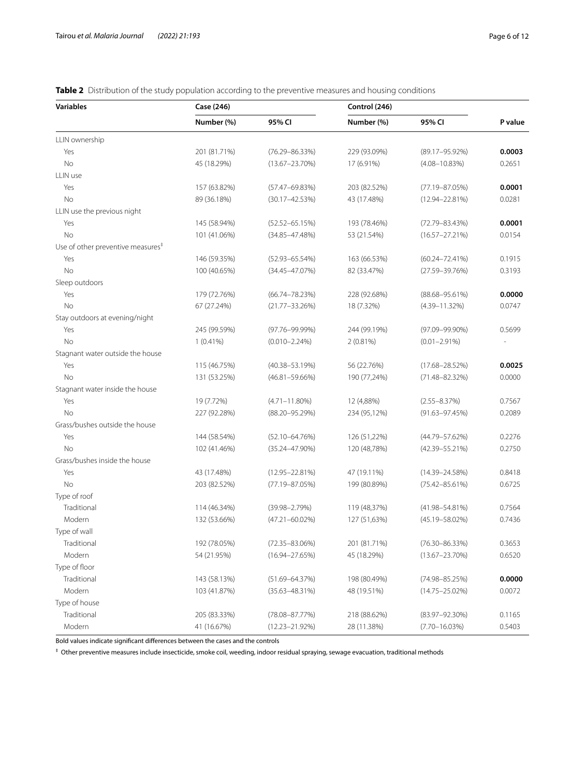<span id="page-5-0"></span>

|  |  |  | Table 2 Distribution of the study population according to the preventive measures and housing conditions |  |
|--|--|--|----------------------------------------------------------------------------------------------------------|--|
|  |  |  |                                                                                                          |  |

| <b>Variables</b>                              | Case (246)   |                     | Control (246) |                     |         |  |
|-----------------------------------------------|--------------|---------------------|---------------|---------------------|---------|--|
|                                               | Number (%)   | 95% CI              | Number (%)    | 95% CI              | P value |  |
| LLIN ownership                                |              |                     |               |                     |         |  |
| Yes                                           | 201 (81.71%) | $(76.29 - 86.33%)$  | 229 (93.09%)  | $(89.17 - 95.92\%)$ | 0.0003  |  |
| No                                            | 45 (18.29%)  | $(13.67 - 23.70\%)$ | 17 (6.91%)    | $(4.08 - 10.83%)$   | 0.2651  |  |
| LLIN use                                      |              |                     |               |                     |         |  |
| Yes                                           | 157 (63.82%) | $(57.47 - 69.83%)$  | 203 (82.52%)  | $(77.19 - 87.05%)$  | 0.0001  |  |
| <b>No</b>                                     | 89 (36.18%)  | $(30.17 - 42.53%)$  | 43 (17.48%)   | $(12.94 - 22.81%)$  | 0.0281  |  |
| LLIN use the previous night                   |              |                     |               |                     |         |  |
| Yes                                           | 145 (58.94%) | $(52.52 - 65.15%)$  | 193 (78.46%)  | $(72.79 - 83.43%)$  | 0.0001  |  |
| No                                            | 101 (41.06%) | $(34.85 - 47.48%)$  | 53 (21.54%)   | $(16.57 - 27.21\%)$ | 0.0154  |  |
| Use of other preventive measures <sup>#</sup> |              |                     |               |                     |         |  |
| Yes                                           | 146 (59.35%) | $(52.93 - 65.54%)$  | 163 (66.53%)  | $(60.24 - 72.41%)$  | 0.1915  |  |
| No                                            | 100 (40.65%) | $(34.45 - 47.07%)$  | 82 (33.47%)   | $(27.59 - 39.76%)$  | 0.3193  |  |
| Sleep outdoors                                |              |                     |               |                     |         |  |
| Yes                                           | 179 (72.76%) | $(66.74 - 78.23%)$  | 228 (92.68%)  | $(88.68 - 95.61\%)$ | 0.0000  |  |
| No                                            | 67 (27.24%)  | $(21.77 - 33.26%)$  | 18 (7.32%)    | $(4.39 - 11.32\%)$  | 0.0747  |  |
| Stay outdoors at evening/night                |              |                     |               |                     |         |  |
| Yes                                           | 245 (99.59%) | $(97.76 - 99.99%)$  | 244 (99.19%)  | $(97.09 - 99.90\%)$ | 0.5699  |  |
| No                                            | $1(0.41\%)$  | $(0.010 - 2.24\%)$  | 2(0.81%)      | $(0.01 - 2.91\%)$   |         |  |
| Stagnant water outside the house              |              |                     |               |                     |         |  |
| Yes                                           | 115 (46.75%) | $(40.38 - 53.19%)$  | 56 (22.76%)   | $(17.68 - 28.52%)$  | 0.0025  |  |
| No                                            | 131 (53.25%) | $(46.81 - 59.66\%)$ | 190 (77,24%)  | $(71.48 - 82.32%)$  | 0.0000  |  |
| Stagnant water inside the house               |              |                     |               |                     |         |  |
| Yes                                           | 19 (7.72%)   | $(4.71 - 11.80\%)$  | 12 (4,88%)    | $(2.55 - 8.37%)$    | 0.7567  |  |
| No                                            | 227 (92.28%) | $(88.20 - 95.29%)$  | 234 (95,12%)  | $(91.63 - 97.45%)$  | 0.2089  |  |
| Grass/bushes outside the house                |              |                     |               |                     |         |  |
| Yes                                           | 144 (58.54%) | $(52.10 - 64.76%)$  | 126 (51,22%)  | $(44.79 - 57.62%)$  | 0.2276  |  |
| No                                            | 102 (41.46%) | $(35.24 - 47.90\%)$ | 120 (48,78%)  | $(42.39 - 55.21\%)$ | 0.2750  |  |
| Grass/bushes inside the house                 |              |                     |               |                     |         |  |
| Yes                                           | 43 (17.48%)  | $(12.95 - 22.81%)$  | 47 (19.11%)   | $(14.39 - 24.58%)$  | 0.8418  |  |
| No                                            | 203 (82.52%) | $(77.19 - 87.05%)$  | 199 (80.89%)  | $(75.42 - 85.61%)$  | 0.6725  |  |
| Type of roof                                  |              |                     |               |                     |         |  |
| Traditional                                   | 114 (46.34%) | $(39.98 - 2.79%)$   | 119 (48,37%)  | $(41.98 - 54.81%)$  | 0.7564  |  |
| Modern                                        | 132 (53.66%) | $(47.21 - 60.02\%)$ | 127 (51,63%)  | $(45.19 - 58.02\%)$ | 0.7436  |  |
| Type of wall                                  |              |                     |               |                     |         |  |
| Traditional                                   | 192 (78.05%) | $(72.35 - 83.06%)$  | 201 (81.71%)  | $(76.30 - 86.33%)$  | 0.3653  |  |
| Modern                                        | 54 (21.95%)  | $(16.94 - 27.65%)$  | 45 (18.29%)   | $(13.67 - 23.70\%)$ | 0.6520  |  |
| Type of floor                                 |              |                     |               |                     |         |  |
| Traditional                                   | 143 (58.13%) | $(51.69 - 64.37%)$  | 198 (80.49%)  | $(74.98 - 85.25%)$  | 0.0000  |  |
| Modern                                        | 103 (41.87%) | $(35.63 - 48.31%)$  | 48 (19.51%)   | $(14.75 - 25.02\%)$ | 0.0072  |  |
| Type of house                                 |              |                     |               |                     |         |  |
| Traditional                                   | 205 (83.33%) | $(78.08 - 87.77%)$  | 218 (88.62%)  | $(83.97 - 92.30\%)$ | 0.1165  |  |
| Modern                                        | 41 (16.67%)  | $(12.23 - 21.92\%)$ | 28 (11.38%)   | $(7.70 - 16.03\%)$  | 0.5403  |  |

Bold values indicate signifcant diferences between the cases and the controls

‡ Other preventive measures include insecticide, smoke coil, weeding, indoor residual spraying, sewage evacuation, traditional methods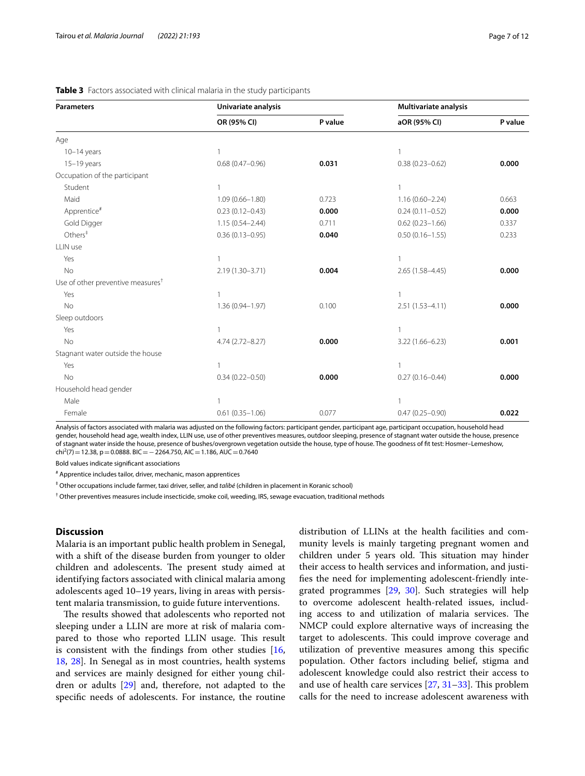| <b>Parameters</b>                             | Univariate analysis |         | Multivariate analysis |         |  |
|-----------------------------------------------|---------------------|---------|-----------------------|---------|--|
|                                               | OR (95% CI)         | P value | aOR (95% CI)          | P value |  |
| Age                                           |                     |         |                       |         |  |
| $10-14$ years                                 | 1                   |         | 1                     |         |  |
| $15-19$ years                                 | $0.68(0.47 - 0.96)$ | 0.031   | $0.38(0.23 - 0.62)$   | 0.000   |  |
| Occupation of the participant                 |                     |         |                       |         |  |
| Student                                       | 1                   |         | $\mathbf{1}$          |         |  |
| Maid                                          | $1.09(0.66 - 1.80)$ | 0.723   | $1.16(0.60 - 2.24)$   | 0.663   |  |
| Apprentice <sup>#</sup>                       | $0.23(0.12 - 0.43)$ | 0.000   | $0.24(0.11 - 0.52)$   | 0.000   |  |
| Gold Digger                                   | $1.15(0.54 - 2.44)$ | 0.711   | $0.62(0.23 - 1.66)$   | 0.337   |  |
| Others <sup>‡</sup>                           | $0.36(0.13 - 0.95)$ | 0.040   | $0.50(0.16 - 1.55)$   | 0.233   |  |
| LLIN use                                      |                     |         |                       |         |  |
| Yes                                           | 1                   |         | $\mathbf{1}$          |         |  |
| No                                            | $2.19(1.30 - 3.71)$ | 0.004   | $2.65(1.58 - 4.45)$   | 0.000   |  |
| Use of other preventive measures <sup>†</sup> |                     |         |                       |         |  |
| Yes                                           | 1                   |         | $\mathbf{1}$          |         |  |
| No                                            | $1.36(0.94 - 1.97)$ | 0.100   | $2.51(1.53 - 4.11)$   | 0.000   |  |
| Sleep outdoors                                |                     |         |                       |         |  |
| Yes                                           | 1                   |         | 1                     |         |  |
| <b>No</b>                                     | 4.74 (2.72-8.27)    | 0.000   | $3.22(1.66 - 6.23)$   | 0.001   |  |
| Stagnant water outside the house              |                     |         |                       |         |  |
| Yes                                           | 1                   |         | $\mathbf{1}$          |         |  |
| <b>No</b>                                     | $0.34(0.22 - 0.50)$ | 0.000   | $0.27(0.16 - 0.44)$   | 0.000   |  |
| Household head gender                         |                     |         |                       |         |  |
| Male                                          | 1                   |         | $\mathbf{1}$          |         |  |
| Female                                        | $0.61(0.35 - 1.06)$ | 0.077   | $0.47(0.25 - 0.90)$   | 0.022   |  |

<span id="page-6-0"></span>

|  |  |  |  | Table 3 Factors associated with clinical malaria in the study participants |
|--|--|--|--|----------------------------------------------------------------------------|
|--|--|--|--|----------------------------------------------------------------------------|

Analysis of factors associated with malaria was adjusted on the following factors: participant gender, participant age, participant occupation, household head gender, household head age, wealth index, LLIN use, use of other preventives measures, outdoor sleeping, presence of stagnant water outside the house, presence of stagnant water inside the house, presence of bushes/overgrown vegetation outside the house, type of house. The goodness of ft test: Hosmer–Lemeshow, chi<sup>2</sup>(7) = 12.38, p = 0.0888. BIC = - 2264.750, AIC = 1.186, AUC = 0.7640

Bold values indicate signifcant associations

# Apprentice includes tailor, driver, mechanic, mason apprentices

‡ Other occupations include farmer, taxi driver, seller, and *talibé* (children in placement in Koranic school)

† Other preventives measures include insecticide, smoke coil, weeding, IRS, sewage evacuation, traditional methods

## **Discussion**

Malaria is an important public health problem in Senegal, with a shift of the disease burden from younger to older children and adolescents. The present study aimed at identifying factors associated with clinical malaria among adolescents aged 10–19 years, living in areas with persistent malaria transmission, to guide future interventions.

The results showed that adolescents who reported not sleeping under a LLIN are more at risk of malaria compared to those who reported LLIN usage. This result is consistent with the fndings from other studies [\[16](#page-10-11), [18,](#page-10-13) [28](#page-10-23)]. In Senegal as in most countries, health systems and services are mainly designed for either young children or adults [[29\]](#page-10-24) and, therefore, not adapted to the specifc needs of adolescents. For instance, the routine distribution of LLINs at the health facilities and community levels is mainly targeting pregnant women and children under 5 years old. This situation may hinder their access to health services and information, and justifes the need for implementing adolescent-friendly integrated programmes [[29,](#page-10-24) [30](#page-10-25)]. Such strategies will help to overcome adolescent health-related issues, including access to and utilization of malaria services. The NMCP could explore alternative ways of increasing the target to adolescents. This could improve coverage and utilization of preventive measures among this specifc population. Other factors including belief, stigma and adolescent knowledge could also restrict their access to and use of health care services  $[27, 31-33]$  $[27, 31-33]$  $[27, 31-33]$  $[27, 31-33]$ . This problem calls for the need to increase adolescent awareness with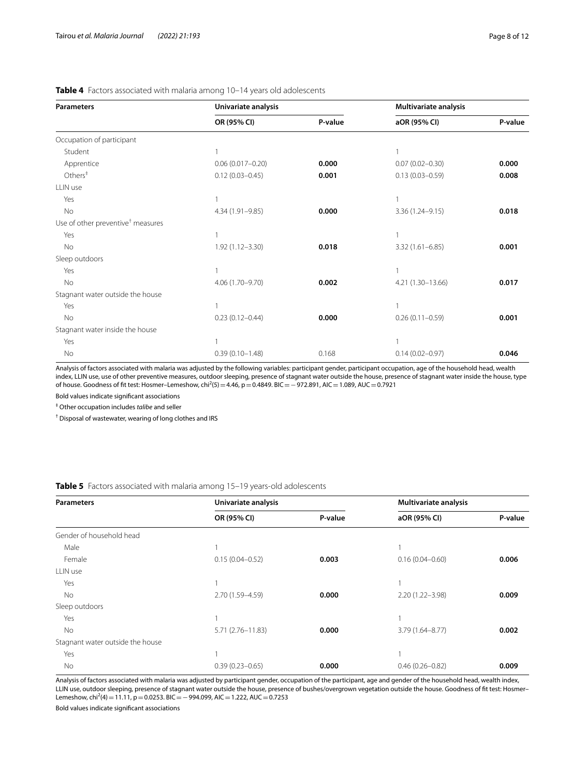<span id="page-7-0"></span>

| <b>Parameters</b>                             | Univariate analysis  |         | Multivariate analysis |         |  |
|-----------------------------------------------|----------------------|---------|-----------------------|---------|--|
|                                               | OR (95% CI)          | P-value | aOR (95% CI)          | P-value |  |
| Occupation of participant                     |                      |         |                       |         |  |
| Student                                       |                      |         |                       |         |  |
| Apprentice                                    | $0.06(0.017 - 0.20)$ | 0.000   | $0.07(0.02 - 0.30)$   | 0.000   |  |
| Others $‡$                                    | $0.12(0.03 - 0.45)$  | 0.001   | $0.13(0.03 - 0.59)$   | 0.008   |  |
| LLIN use                                      |                      |         |                       |         |  |
| Yes                                           |                      |         |                       |         |  |
| No                                            | 4.34 (1.91-9.85)     | 0.000   | 3.36 (1.24-9.15)      | 0.018   |  |
| Use of other preventive <sup>†</sup> measures |                      |         |                       |         |  |
| Yes                                           |                      |         |                       |         |  |
| No                                            | $1.92(1.12 - 3.30)$  | 0.018   | $3.32(1.61 - 6.85)$   | 0.001   |  |
| Sleep outdoors                                |                      |         |                       |         |  |
| Yes                                           |                      |         |                       |         |  |
| No                                            | 4.06 (1.70-9.70)     | 0.002   | 4.21 (1.30-13.66)     | 0.017   |  |
| Stagnant water outside the house              |                      |         |                       |         |  |
| Yes                                           |                      |         |                       |         |  |
| <b>No</b>                                     | $0.23(0.12 - 0.44)$  | 0.000   | $0.26(0.11 - 0.59)$   | 0.001   |  |
| Stagnant water inside the house               |                      |         |                       |         |  |
| Yes                                           |                      |         |                       |         |  |
| No                                            | $0.39(0.10 - 1.48)$  | 0.168   | $0.14(0.02 - 0.97)$   | 0.046   |  |
|                                               |                      |         |                       |         |  |

Analysis of factors associated with malaria was adjusted by the following variables: participant gender, participant occupation, age of the household head, wealth index, LLIN use, use of other preventive measures, outdoor sleeping, presence of stagnant water outside the house, presence of stagnant water inside the house, type of house. Goodness of fit test: Hosmer–Lemeshow, chi<sup>2</sup>(5) = 4.46, p = 0.4849. BIC = − 972.891, AIC = 1.089, AUC = 0.7921

Bold values indicate signifcant associations

‡ Other occupation includes *talibe* and seller

† Disposal of wastewater, wearing of long clothes and IRS

#### <span id="page-7-1"></span>**Table 5** Factors associated with malaria among 15–19 years-old adolescents

| <b>Parameters</b>                | Univariate analysis |         | Multivariate analysis |         |
|----------------------------------|---------------------|---------|-----------------------|---------|
|                                  | OR (95% CI)         | P-value | aOR (95% CI)          | P-value |
| Gender of household head         |                     |         |                       |         |
| Male                             |                     |         |                       |         |
| Female                           | $0.15(0.04 - 0.52)$ | 0.003   | $0.16(0.04 - 0.60)$   | 0.006   |
| LLIN use                         |                     |         |                       |         |
| Yes                              |                     |         |                       |         |
| No.                              | 2.70 (1.59-4.59)    | 0.000   | $2.20(1.22 - 3.98)$   | 0.009   |
| Sleep outdoors                   |                     |         |                       |         |
| Yes                              |                     |         |                       |         |
| No.                              | 5.71 (2.76-11.83)   | 0.000   | $3.79(1.64 - 8.77)$   | 0.002   |
| Stagnant water outside the house |                     |         |                       |         |
| Yes                              |                     |         |                       |         |
| No.                              | $0.39(0.23 - 0.65)$ | 0.000   | $0.46(0.26 - 0.82)$   | 0.009   |

Analysis of factors associated with malaria was adjusted by participant gender, occupation of the participant, age and gender of the household head, wealth index, LLIN use, outdoor sleeping, presence of stagnant water outside the house, presence of bushes/overgrown vegetation outside the house. Goodness of ft test: Hosmer– Lemeshow, chi<sup>2</sup>(4) = 11.11, p = 0.0253. BIC = - 994.099, AIC = 1.222, AUC = 0.7253

Bold values indicate signifcant associations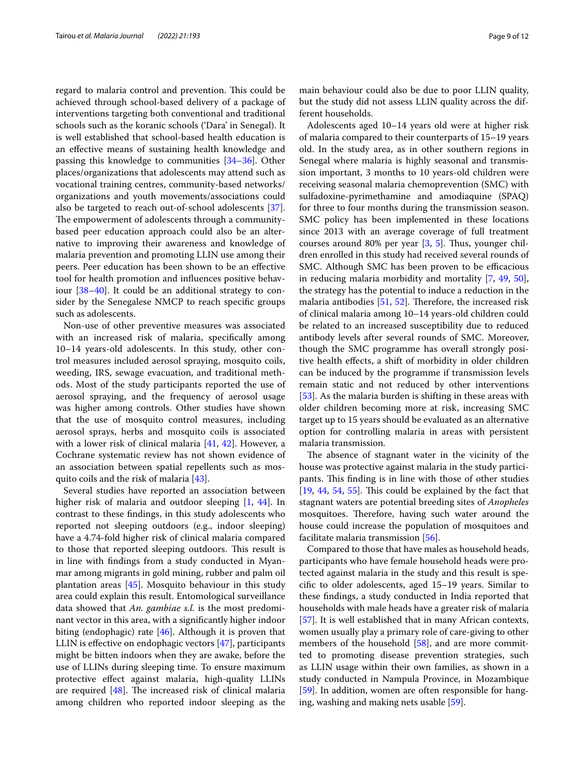regard to malaria control and prevention. This could be achieved through school-based delivery of a package of interventions targeting both conventional and traditional schools such as the koranic schools ('Dara' in Senegal). It is well established that school-based health education is an efective means of sustaining health knowledge and passing this knowledge to communities [[34–](#page-10-28)[36\]](#page-10-29). Other places/organizations that adolescents may attend such as vocational training centres, community-based networks/ organizations and youth movements/associations could also be targeted to reach out-of-school adolescents [\[37](#page-10-30)]. The empowerment of adolescents through a communitybased peer education approach could also be an alternative to improving their awareness and knowledge of malaria prevention and promoting LLIN use among their peers. Peer education has been shown to be an efective tool for health promotion and infuences positive behaviour [\[38](#page-10-31)[–40](#page-10-32)]. It could be an additional strategy to consider by the Senegalese NMCP to reach specifc groups such as adolescents.

Non-use of other preventive measures was associated with an increased risk of malaria, specifically among 10–14 years-old adolescents. In this study, other control measures included aerosol spraying, mosquito coils, weeding, IRS, sewage evacuation, and traditional methods. Most of the study participants reported the use of aerosol spraying, and the frequency of aerosol usage was higher among controls. Other studies have shown that the use of mosquito control measures, including aerosol sprays, herbs and mosquito coils is associated with a lower risk of clinical malaria [[41,](#page-10-33) [42\]](#page-10-34). However, a Cochrane systematic review has not shown evidence of an association between spatial repellents such as mosquito coils and the risk of malaria [\[43](#page-10-35)].

Several studies have reported an association between higher risk of malaria and outdoor sleeping [\[1](#page-9-0), [44](#page-11-0)]. In contrast to these fndings, in this study adolescents who reported not sleeping outdoors (e.g., indoor sleeping) have a 4.74-fold higher risk of clinical malaria compared to those that reported sleeping outdoors. This result is in line with fndings from a study conducted in Myanmar among migrants in gold mining, rubber and palm oil plantation areas [\[45](#page-11-1)]. Mosquito behaviour in this study area could explain this result. Entomological surveillance data showed that *An. gambiae s.l.* is the most predominant vector in this area, with a signifcantly higher indoor biting (endophagic) rate [[46\]](#page-11-2). Although it is proven that LLIN is efective on endophagic vectors [[47\]](#page-11-3), participants might be bitten indoors when they are awake, before the use of LLINs during sleeping time. To ensure maximum protective effect against malaria, high-quality LLINs are required  $[48]$ . The increased risk of clinical malaria among children who reported indoor sleeping as the main behaviour could also be due to poor LLIN quality, but the study did not assess LLIN quality across the different households.

Adolescents aged 10–14 years old were at higher risk of malaria compared to their counterparts of 15–19 years old. In the study area, as in other southern regions in Senegal where malaria is highly seasonal and transmission important, 3 months to 10 years-old children were receiving seasonal malaria chemoprevention (SMC) with sulfadoxine-pyrimethamine and amodiaquine (SPAQ) for three to four months during the transmission season. SMC policy has been implemented in these locations since 2013 with an average coverage of full treatment courses around 80% per year  $[3, 5]$  $[3, 5]$  $[3, 5]$  $[3, 5]$  $[3, 5]$ . Thus, younger children enrolled in this study had received several rounds of SMC. Although SMC has been proven to be efficacious in reducing malaria morbidity and mortality [\[7](#page-10-5), [49,](#page-11-5) [50](#page-11-6)], the strategy has the potential to induce a reduction in the malaria antibodies  $[51, 52]$  $[51, 52]$  $[51, 52]$ . Therefore, the increased risk of clinical malaria among 10–14 years-old children could be related to an increased susceptibility due to reduced antibody levels after several rounds of SMC. Moreover, though the SMC programme has overall strongly positive health efects, a shift of morbidity in older children can be induced by the programme if transmission levels remain static and not reduced by other interventions [[53\]](#page-11-9). As the malaria burden is shifting in these areas with older children becoming more at risk, increasing SMC target up to 15 years should be evaluated as an alternative option for controlling malaria in areas with persistent malaria transmission.

The absence of stagnant water in the vicinity of the house was protective against malaria in the study participants. This finding is in line with those of other studies  $[19, 44, 54, 55]$  $[19, 44, 54, 55]$  $[19, 44, 54, 55]$  $[19, 44, 54, 55]$  $[19, 44, 54, 55]$  $[19, 44, 54, 55]$  $[19, 44, 54, 55]$  $[19, 44, 54, 55]$ . This could be explained by the fact that stagnant waters are potential breeding sites of *Anopheles* mosquitoes. Therefore, having such water around the house could increase the population of mosquitoes and facilitate malaria transmission [\[56\]](#page-11-12).

Compared to those that have males as household heads, participants who have female household heads were protected against malaria in the study and this result is specifc to older adolescents, aged 15–19 years. Similar to these fndings, a study conducted in India reported that households with male heads have a greater risk of malaria [[57\]](#page-11-13). It is well established that in many African contexts, women usually play a primary role of care-giving to other members of the household [\[58](#page-11-14)], and are more committed to promoting disease prevention strategies, such as LLIN usage within their own families, as shown in a study conducted in Nampula Province, in Mozambique [[59\]](#page-11-15). In addition, women are often responsible for hanging, washing and making nets usable [\[59\]](#page-11-15).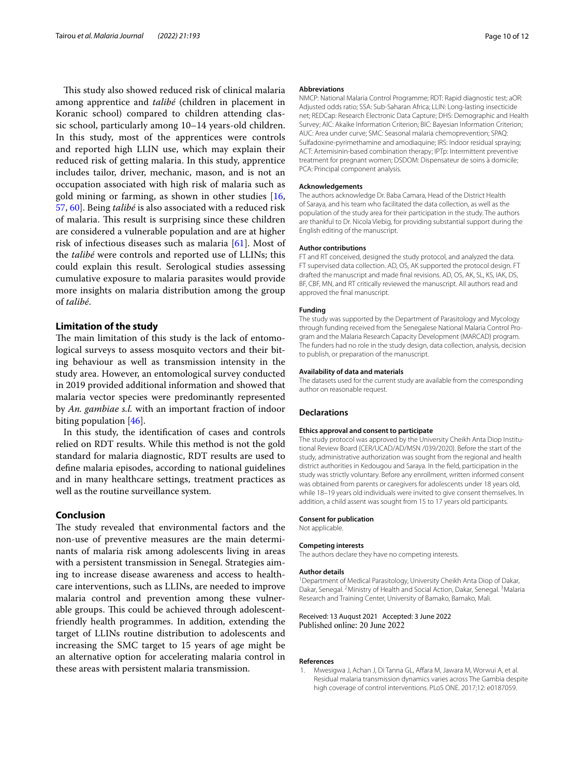This study also showed reduced risk of clinical malaria among apprentice and *talibé* (children in placement in Koranic school) compared to children attending classic school, particularly among 10–14 years-old children. In this study, most of the apprentices were controls and reported high LLIN use, which may explain their reduced risk of getting malaria. In this study, apprentice includes tailor, driver, mechanic, mason, and is not an occupation associated with high risk of malaria such as gold mining or farming, as shown in other studies [\[16](#page-10-11), [57,](#page-11-13) [60](#page-11-16)]. Being *talibé* is also associated with a reduced risk of malaria. This result is surprising since these children are considered a vulnerable population and are at higher risk of infectious diseases such as malaria [[61\]](#page-11-17). Most of the *talibé* were controls and reported use of LLINs; this could explain this result. Serological studies assessing cumulative exposure to malaria parasites would provide more insights on malaria distribution among the group of *talibé*.

## **Limitation of the study**

The main limitation of this study is the lack of entomological surveys to assess mosquito vectors and their biting behaviour as well as transmission intensity in the study area. However, an entomological survey conducted in 2019 provided additional information and showed that malaria vector species were predominantly represented by *An. gambiae s.l.* with an important fraction of indoor biting population [[46\]](#page-11-2).

In this study, the identifcation of cases and controls relied on RDT results. While this method is not the gold standard for malaria diagnostic, RDT results are used to defne malaria episodes, according to national guidelines and in many healthcare settings, treatment practices as well as the routine surveillance system.

#### **Conclusion**

The study revealed that environmental factors and the non-use of preventive measures are the main determinants of malaria risk among adolescents living in areas with a persistent transmission in Senegal. Strategies aiming to increase disease awareness and access to healthcare interventions, such as LLINs, are needed to improve malaria control and prevention among these vulnerable groups. This could be achieved through adolescentfriendly health programmes. In addition, extending the target of LLINs routine distribution to adolescents and increasing the SMC target to 15 years of age might be an alternative option for accelerating malaria control in these areas with persistent malaria transmission.

#### **Abbreviations**

NMCP: National Malaria Control Programme; RDT: Rapid diagnostic test; aOR: Adjusted odds ratio; SSA: Sub-Saharan Africa; LLIN: Long-lasting insecticide net; REDCap: Research Electronic Data Capture; DHS: Demographic and Health Survey; AIC: Akaike Information Criterion; BIC: Bayesian Information Criterion; AUC: Area under curve; SMC: Seasonal malaria chemoprevention; SPAQ: Sulfadoxine-pyrimethamine and amodiaquine; IRS: Indoor residual spraying; ACT: Artemisinin-based combination therapy; IPTp: Intermittent preventive treatment for pregnant women; DSDOM: Dispensateur de soins à domicile; PCA: Principal component analysis.

#### **Acknowledgements**

The authors acknowledge Dr. Baba Camara, Head of the District Health of Saraya, and his team who facilitated the data collection, as well as the population of the study area for their participation in the study. The authors are thankful to Dr. Nicola Viebig, for providing substantial support during the English editing of the manuscript.

#### **Author contributions**

FT and RT conceived, designed the study protocol, and analyzed the data. FT supervised data collection. AD, OS, AK supported the protocol design. FT drafted the manuscript and made fnal revisions. AD, OS, AK, SL, KS, IAK, DS, BF, CBF, MN, and RT critically reviewed the manuscript. All authors read and approved the fnal manuscript.

#### **Funding**

The study was supported by the Department of Parasitology and Mycology through funding received from the Senegalese National Malaria Control Program and the Malaria Research Capacity Development (MARCAD) program. The funders had no role in the study design, data collection, analysis, decision to publish, or preparation of the manuscript.

#### **Availability of data and materials**

The datasets used for the current study are available from the corresponding author on reasonable request.

#### **Declarations**

#### **Ethics approval and consent to participate**

The study protocol was approved by the University Cheikh Anta Diop Institutional Review Board (CER/UCAD/AD/MSN /039/2020). Before the start of the study, administrative authorization was sought from the regional and health district authorities in Kedougou and Saraya. In the feld, participation in the study was strictly voluntary. Before any enrollment, written informed consent was obtained from parents or caregivers for adolescents under 18 years old, while 18–19 years old individuals were invited to give consent themselves. In addition, a child assent was sought from 15 to 17 years old participants.

# **Consent for publication**

Not applicable.

#### **Competing interests**

The authors declare they have no competing interests.

#### **Author details**

<sup>1</sup> Department of Medical Parasitology, University Cheikh Anta Diop of Dakar, Dakar, Senegal. <sup>2</sup> Ministry of Health and Social Action, Dakar, Senegal. <sup>3</sup> Malaria Research and Training Center, University of Bamako, Bamako, Mali.

#### Received: 13 August 2021 Accepted: 3 June 2022 Published online: 20 June 2022

#### **References**

<span id="page-9-0"></span>1. Mwesigwa J, Achan J, Di Tanna GL, Affara M, Jawara M, Worwui A, et al. Residual malaria transmission dynamics varies across The Gambia despite high coverage of control interventions. PLoS ONE. 2017;12: e0187059.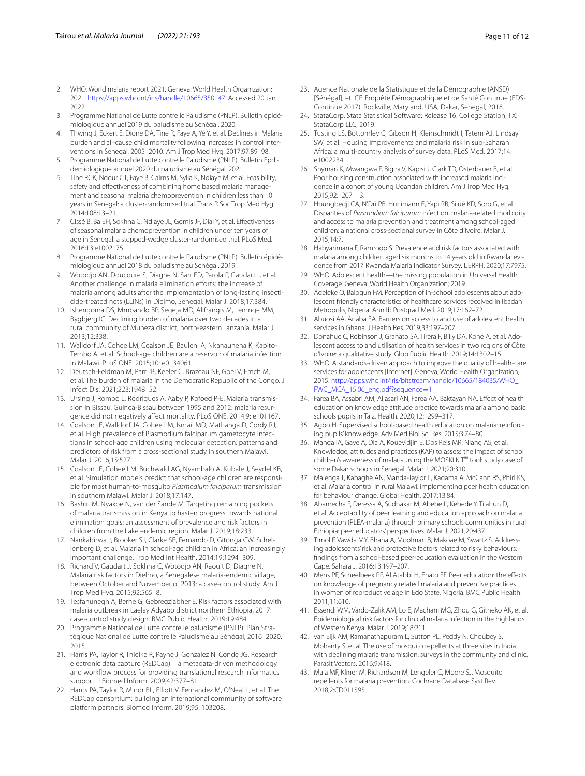- <span id="page-10-0"></span>2. WHO. World malaria report 2021. Geneva: World Health Organization; 2021.<https://apps.who.int/iris/handle/10665/350147>. Accessed 20 Jan 2022.
- <span id="page-10-1"></span>3. Programme National de Lutte contre le Paludisme (PNLP). Bulletin épidémiologique annuel 2019 du paludisme au Sénégal. 2020.
- <span id="page-10-2"></span>4. Thwing J, Eckert E, Dione DA, Tine R, Faye A, Yé Y, et al. Declines in Malaria burden and all-cause child mortality following increases in control interventions in Senegal, 2005–2010. Am J Trop Med Hyg. 2017;97:89–98.
- <span id="page-10-3"></span>5. Programme National de Lutte contre le Paludisme (PNLP). Bulletin Epdidemiologique annuel 2020 du paludisme au Sénégal. 2021.
- <span id="page-10-4"></span>6. Tine RCK, Ndour CT, Faye B, Cairns M, Sylla K, Ndiaye M, et al. Feasibility, safety and effectiveness of combining home based malaria management and seasonal malaria chemoprevention in children less than 10 years in Senegal: a cluster-randomised trial. Trans R Soc Trop Med Hyg. 2014;108:13–21.
- <span id="page-10-5"></span>7. Cissé B, Ba EH, Sokhna C, Ndiaye JL, Gomis JF, Dial Y, et al. Efectiveness of seasonal malaria chemoprevention in children under ten years of age in Senegal: a stepped-wedge cluster-randomised trial. PLoS Med. 2016;13:e1002175.
- <span id="page-10-6"></span>8. Programme National de Lutte contre le Paludisme (PNLP). Bulletin épidémiologique annuel 2018 du paludisme au Sénégal. 2019.
- <span id="page-10-7"></span>9. Wotodjo AN, Doucoure S, Diagne N, Sarr FD, Parola P, Gaudart J, et al. Another challenge in malaria elimination eforts: the increase of malaria among adults after the implementation of long-lasting insecticide-treated nets (LLINs) in Dielmo, Senegal. Malar J. 2018;17:384.
- <span id="page-10-8"></span>10. Ishengoma DS, Mmbando BP, Segeja MD, Alifrangis M, Lemnge MM, Bygbjerg IC. Declining burden of malaria over two decades in a rural community of Muheza district, north-eastern Tanzania. Malar J. 2013;12:338.
- 11. Walldorf JA, Cohee LM, Coalson JE, Bauleni A, Nkanaunena K, Kapito-Tembo A, et al. School-age children are a reservoir of malaria infection in Malawi. PLoS ONE. 2015;10: e0134061.
- <span id="page-10-9"></span>12. Deutsch-Feldman M, Parr JB, Keeler C, Brazeau NF, Goel V, Emch M, et al. The burden of malaria in the Democratic Republic of the Congo. J Infect Dis. 2021;223:1948–52.
- <span id="page-10-10"></span>13. Ursing J, Rombo L, Rodrigues A, Aaby P, Kofoed P-E. Malaria transmission in Bissau, Guinea-Bissau between 1995 and 2012: malaria resurgence did not negatively afect mortality. PLoS ONE. 2014;9: e101167.
- 14. Coalson JE, Walldorf JA, Cohee LM, Ismail MD, Mathanga D, Cordy RJ, et al. High prevalence of Plasmodium falciparum gametocyte infections in school-age children using molecular detection: patterns and predictors of risk from a cross-sectional study in southern Malawi. Malar J. 2016;15:527.
- 15. Coalson JE, Cohee LM, Buchwald AG, Nyambalo A, Kubale J, Seydel KB, et al. Simulation models predict that school-age children are responsible for most human-to-mosquito *Plasmodium falciparum* transmission in southern Malawi. Malar J. 2018;17:147.
- <span id="page-10-11"></span>16. Bashir IM, Nyakoe N, van der Sande M. Targeting remaining pockets of malaria transmission in Kenya to hasten progress towards national elimination goals: an assessment of prevalence and risk factors in children from the Lake endemic region. Malar J. 2019;18:233.
- <span id="page-10-12"></span>17. Nankabirwa J, Brooker SJ, Clarke SE, Fernando D, Gitonga CW, Schellenberg D, et al. Malaria in school-age children in Africa: an increasingly important challenge. Trop Med Int Health. 2014;19:1294–309.
- <span id="page-10-13"></span>18. Richard V, Gaudart J, Sokhna C, Wotodjo AN, Raoult D, Diagne N. Malaria risk factors in Dielmo, a Senegalese malaria-endemic village, between October and November of 2013: a case-control study. Am J Trop Med Hyg. 2015;92:565–8.
- <span id="page-10-14"></span>19. Tesfahunegn A, Berhe G, Gebregziabher E. Risk factors associated with malaria outbreak in Laelay Adyabo district northern Ethiopia, 2017: case-control study design. BMC Public Health. 2019;19:484.
- <span id="page-10-15"></span>20. Programme National de Lutte contre le paludisme (PNLP). Plan Stratégique National de Lutte contre le Paludisme au Sénégal, 2016–2020. 2015.
- <span id="page-10-16"></span>21. Harris PA, Taylor R, Thielke R, Payne J, Gonzalez N, Conde JG. Research electronic data capture (REDCap)—a metadata-driven methodology and workflow process for providing translational research informatics support. J Biomed Inform. 2009;42:377–81.
- <span id="page-10-17"></span>22. Harris PA, Taylor R, Minor BL, Elliott V, Fernandez M, O'Neal L, et al. The REDCap consortium: building an international community of software platform partners. Biomed Inform. 2019;95: 103208.
- <span id="page-10-18"></span>23. Agence Nationale de la Statistique et de la Démographie (ANSD) [Sénégal], et ICF. Enquête Démographique et de Santé Continue (EDS-Continue 2017). Rockville, Maryland, USA; Dakar, Senegal, 2018.
- <span id="page-10-19"></span>24. StataCorp. Stata Statistical Software: Release 16. College Station, TX: StataCorp LLC; 2019.
- <span id="page-10-20"></span>25. Tusting LS, Bottomley C, Gibson H, Kleinschmidt I, Tatem AJ, Lindsay SW, et al. Housing improvements and malaria risk in sub-Saharan Africa: a multi-country analysis of survey data. PLoS Med. 2017;14: e1002234.
- <span id="page-10-21"></span>26. Snyman K, Mwangwa F, Bigira V, Kapisi J, Clark TD, Osterbauer B, et al. Poor housing construction associated with increased malaria incidence in a cohort of young Ugandan children. Am J Trop Med Hyg. 2015;92:1207–13.
- <span id="page-10-22"></span>27. Houngbedji CA, N'Dri PB, Hürlimann E, Yapi RB, Silué KD, Soro G, et al. Disparities of *Plasmodium falciparum* infection, malaria-related morbidity and access to malaria prevention and treatment among school-aged children: a national cross-sectional survey in Côte d'Ivoire. Malar J. 2015;14:7.
- <span id="page-10-23"></span>28. Habyarimana F, Ramroop S. Prevalence and risk factors associated with malaria among children aged six months to 14 years old in Rwanda: evidence from 2017 Rwanda Malaria Indicator Survey. IJERPH. 2020;17:7975.
- <span id="page-10-24"></span>29. WHO. Adolescent health—the missing population in Universal Health Coverage. Geneva: World Health Organization; 2019.
- <span id="page-10-25"></span>30. Adeleke O, Balogun FM. Perception of in-school adolescents about adolescent friendly characteristics of healthcare services received in Ibadan Metropolis, Nigeria. Ann Ib Postgrad Med. 2019;17:162–72.
- <span id="page-10-26"></span>31. Abuosi AA, Anaba EA. Barriers on access to and use of adolescent health services in Ghana. J Health Res. 2019;33:197–207.
- 32. Donahue C, Robinson J, Granato SA, Tirera F, Billy DA, Koné A, et al. Adolescent access to and utilisation of health services in two regions of Côte d'Ivoire: a qualitative study. Glob Public Health. 2019;14:1302–15.
- <span id="page-10-27"></span>33. WHO. A standards-driven approach to improve the quality of health-care services for adolescents [Internet]. Geneva, World Health Organization, 2015. [http://apps.who.int/iris/bitstream/handle/10665/184035/WHO\\_](http://apps.who.int/iris/bitstream/handle/10665/184035/WHO_FWC_MCA_15.06_eng.pdf?sequence=1) [FWC\\_MCA\\_15.06\\_eng.pdf?sequence](http://apps.who.int/iris/bitstream/handle/10665/184035/WHO_FWC_MCA_15.06_eng.pdf?sequence=1)=1
- <span id="page-10-28"></span>34. Farea BA, Assabri AM, Aljasari AN, Farea AA, Baktayan NA. Efect of health education on knowledge attitude practice towards malaria among basic schools pupils in Taiz. Health. 2020;12:1299–317.
- 35. Agbo H. Supervised school-based health education on malaria: reinforcing pupils' knowledge. Adv Med Biol Sci Res. 2015;3:74–80.
- <span id="page-10-29"></span>36. Manga IA, Gaye A, Dia A, Kouevidjin E, Dos Reis MR, Niang AS, et al. Knowledge, attitudes and practices (KAP) to assess the impact of school children's awareness of malaria using the MOSKI KIT® tool: study case of some Dakar schools in Senegal. Malar J. 2021;20:310.
- <span id="page-10-30"></span>37. Malenga T, Kabaghe AN, Manda-Taylor L, Kadama A, McCann RS, Phiri KS, et al. Malaria control in rural Malawi: implementing peer health education for behaviour change. Global Health. 2017;13:84.
- <span id="page-10-31"></span>38. Abamecha F, Deressa A, Sudhakar M, Abebe L, Kebede Y, Tilahun D, et al. Acceptability of peer learning and education approach on malaria prevention (PLEA-malaria) through primary schools communities in rural Ethiopia: peer educators' perspectives. Malar J. 2021;20:437.
- 39. Timol F, Vawda MY, Bhana A, Moolman B, Makoae M, Swartz S. Addressing adolescents' risk and protective factors related to risky behaviours: fndings from a school-based peer-education evaluation in the Western Cape. Sahara J. 2016;13:197–207.
- <span id="page-10-32"></span>40. Mens PF, Scheelbeek PF, Al Atabbi H, Enato EF. Peer education: the effects on knowledge of pregnancy related malaria and preventive practices in women of reproductive age in Edo State, Nigeria. BMC Public Health. 2011;11:610.
- <span id="page-10-33"></span>41. Essendi WM, Vardo-Zalik AM, Lo E, Machani MG, Zhou G, Githeko AK, et al. Epidemiological risk factors for clinical malaria infection in the highlands of Western Kenya. Malar J. 2019;18:211.
- <span id="page-10-34"></span>42. van Eijk AM, Ramanathapuram L, Sutton PL, Peddy N, Choubey S, Mohanty S, et al. The use of mosquito repellents at three sites in India with declining malaria transmission: surveys in the community and clinic. Parasit Vectors. 2016;9:418.
- <span id="page-10-35"></span>43. Maia MF, Kliner M, Richardson M, Lengeler C, Moore SJ. Mosquito repellents for malaria prevention. Cochrane Database Syst Rev. 2018;2:CD011595.